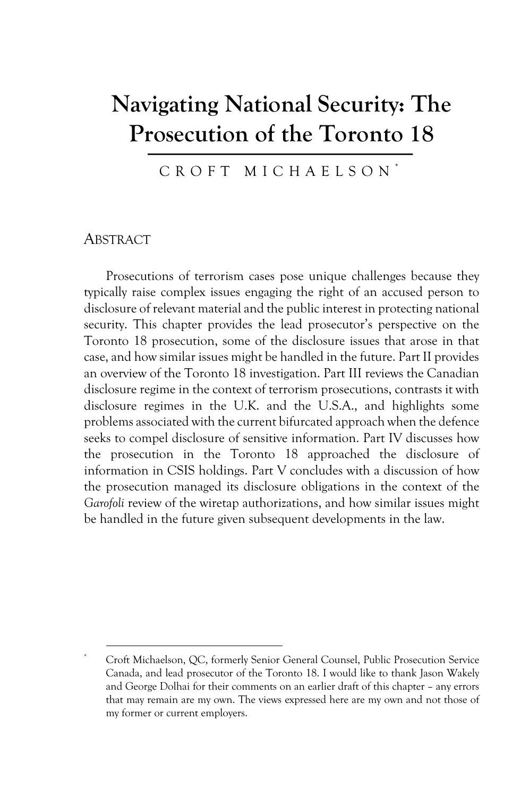# **Navigating National Security: The Prosecution of the Toronto 18**

CROFT MICHAELSON \*

#### **ABSTRACT**

Prosecutions of terrorism cases pose unique challenges because they typically raise complex issues engaging the right of an accused person to disclosure of relevant material and the public interest in protecting national security. This chapter provides the lead prosecutor's perspective on the Toronto 18 prosecution, some of the disclosure issues that arose in that case, and how similar issues might be handled in the future. Part II provides an overview of the Toronto 18 investigation. Part III reviews the Canadian disclosure regime in the context of terrorism prosecutions, contrasts it with disclosure regimes in the U.K. and the U.S.A., and highlights some problems associated with the current bifurcated approach when the defence seeks to compel disclosure of sensitive information. Part IV discusses how the prosecution in the Toronto 18 approached the disclosure of information in CSIS holdings. Part V concludes with a discussion of how the prosecution managed its disclosure obligations in the context of the *Garofoli* review of the wiretap authorizations, and how similar issues might be handled in the future given subsequent developments in the law.

<sup>\*</sup> Croft Michaelson, QC, formerly Senior General Counsel, Public Prosecution Service Canada, and lead prosecutor of the Toronto 18. I would like to thank Jason Wakely and George Dolhai for their comments on an earlier draft of this chapter – any errors that may remain are my own. The views expressed here are my own and not those of my former or current employers.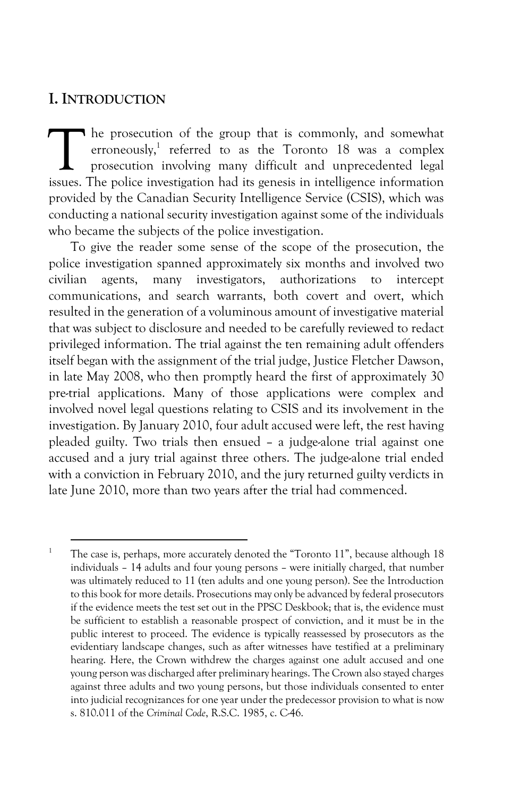#### **I. INTRODUCTION**

he prosecution of the group that is commonly, and somewhat erroneously, <sup>1</sup> referred to as the Toronto 18 was a complex prosecution involving many difficult and unprecedented legal The prosecution of the group that is commonly, and somewhat erroneously,<sup>1</sup> referred to as the Toronto 18 was a complex prosecution involving many difficult and unprecedented legal issues. The police investigation had its provided by the Canadian Security Intelligence Service (CSIS), which was conducting a national security investigation against some of the individuals who became the subjects of the police investigation.

To give the reader some sense of the scope of the prosecution, the police investigation spanned approximately six months and involved two civilian agents, many investigators, authorizations to intercept communications, and search warrants, both covert and overt, which resulted in the generation of a voluminous amount of investigative material that was subject to disclosure and needed to be carefully reviewed to redact privileged information. The trial against the ten remaining adult offenders itself began with the assignment of the trial judge, Justice Fletcher Dawson, in late May 2008, who then promptly heard the first of approximately 30 pre-trial applications. Many of those applications were complex and involved novel legal questions relating to CSIS and its involvement in the investigation. By January 2010, four adult accused were left, the rest having pleaded guilty. Two trials then ensued – a judge-alone trial against one accused and a jury trial against three others. The judge-alone trial ended with a conviction in February 2010, and the jury returned guilty verdicts in late June 2010, more than two years after the trial had commenced.

<sup>&</sup>lt;sup>1</sup> The case is, perhaps, more accurately denoted the "Toronto  $11$ ", because although  $18$ individuals – 14 adults and four young persons – were initially charged, that number was ultimately reduced to 11 (ten adults and one young person). See the Introduction to this book for more details. Prosecutions may only be advanced by federal prosecutors if the evidence meets the test set out in the PPSC Deskbook; that is, the evidence must be sufficient to establish a reasonable prospect of conviction, and it must be in the public interest to proceed. The evidence is typically reassessed by prosecutors as the evidentiary landscape changes, such as after witnesses have testified at a preliminary hearing. Here, the Crown withdrew the charges against one adult accused and one young person was discharged after preliminary hearings. The Crown also stayed charges against three adults and two young persons, but those individuals consented to enter into judicial recognizances for one year under the predecessor provision to what is now s. 810.011 of the *Criminal Code*, R.S.C. 1985, c. C-46.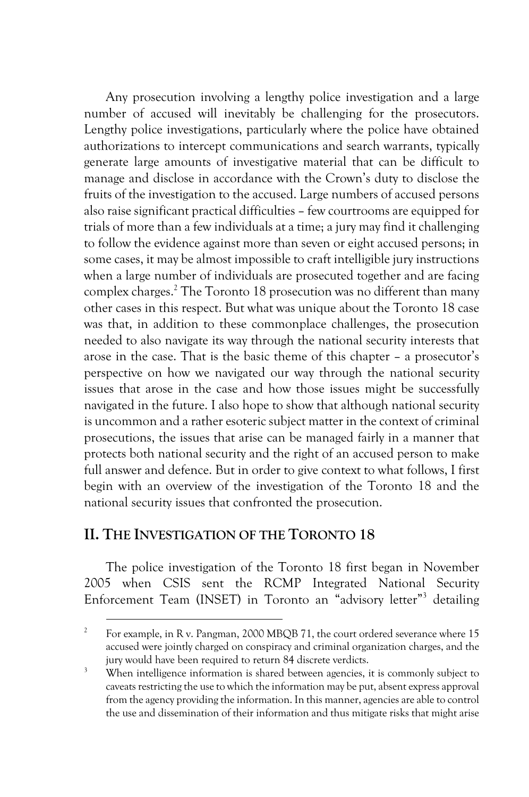Any prosecution involving a lengthy police investigation and a large number of accused will inevitably be challenging for the prosecutors. Lengthy police investigations, particularly where the police have obtained authorizations to intercept communications and search warrants, typically generate large amounts of investigative material that can be difficult to manage and disclose in accordance with the Crown's duty to disclose the fruits of the investigation to the accused. Large numbers of accused persons also raise significant practical difficulties – few courtrooms are equipped for trials of more than a few individuals at a time; a jury may find it challenging to follow the evidence against more than seven or eight accused persons; in some cases, it may be almost impossible to craft intelligible jury instructions when a large number of individuals are prosecuted together and are facing complex charges.2 The Toronto 18 prosecution was no different than many other cases in this respect. But what was unique about the Toronto 18 case was that, in addition to these commonplace challenges, the prosecution needed to also navigate its way through the national security interests that arose in the case. That is the basic theme of this chapter – a prosecutor's perspective on how we navigated our way through the national security issues that arose in the case and how those issues might be successfully navigated in the future. I also hope to show that although national security is uncommon and a rather esoteric subject matter in the context of criminal prosecutions, the issues that arise can be managed fairly in a manner that protects both national security and the right of an accused person to make full answer and defence. But in order to give context to what follows, I first begin with an overview of the investigation of the Toronto 18 and the national security issues that confronted the prosecution.

#### **II. THE INVESTIGATION OF THE TORONTO 18**

The police investigation of the Toronto 18 first began in November 2005 when CSIS sent the RCMP Integrated National Security Enforcement Team (INSET) in Toronto an "advisory letter"3 detailing

<sup>&</sup>lt;sup>2</sup> For example, in R v. Pangman, 2000 MBQB 71, the court ordered severance where 15 accused were jointly charged on conspiracy and criminal organization charges, and the jury would have been required to return 84 discrete verdicts.

<sup>&</sup>lt;sup>3</sup> When intelligence information is shared between agencies, it is commonly subject to caveats restricting the use to which the information may be put, absent express approval from the agency providing the information. In this manner, agencies are able to control the use and dissemination of their information and thus mitigate risks that might arise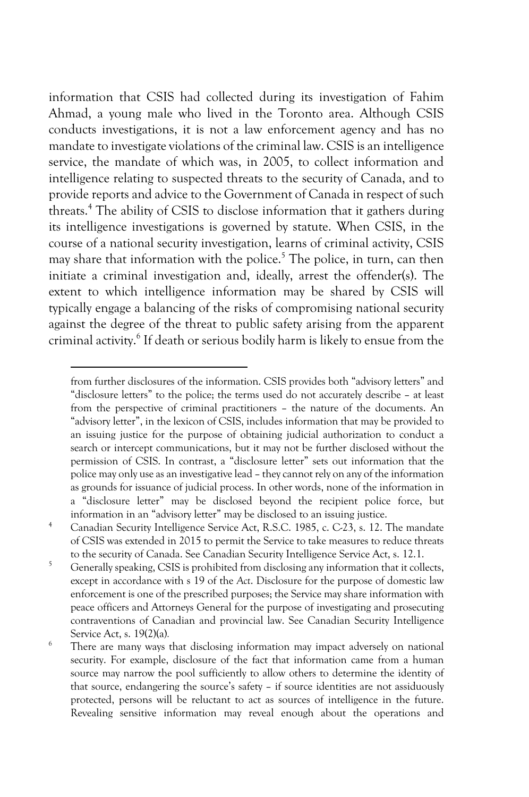information that CSIS had collected during its investigation of Fahim Ahmad, a young male who lived in the Toronto area. Although CSIS conducts investigations, it is not a law enforcement agency and has no mandate to investigate violations of the criminal law. CSIS is an intelligence service, the mandate of which was, in 2005, to collect information and intelligence relating to suspected threats to the security of Canada, and to provide reports and advice to the Government of Canada in respect of such threats.4 The ability of CSIS to disclose information that it gathers during its intelligence investigations is governed by statute. When CSIS, in the course of a national security investigation, learns of criminal activity, CSIS may share that information with the police.<sup>5</sup> The police, in turn, can then initiate a criminal investigation and, ideally, arrest the offender(s). The extent to which intelligence information may be shared by CSIS will typically engage a balancing of the risks of compromising national security against the degree of the threat to public safety arising from the apparent criminal activity.6 If death or serious bodily harm is likely to ensue from the

from further disclosures of the information. CSIS provides both "advisory letters" and "disclosure letters" to the police; the terms used do not accurately describe – at least from the perspective of criminal practitioners – the nature of the documents. An "advisory letter", in the lexicon of CSIS, includes information that may be provided to an issuing justice for the purpose of obtaining judicial authorization to conduct a search or intercept communications, but it may not be further disclosed without the permission of CSIS. In contrast, a "disclosure letter" sets out information that the police may only use as an investigative lead – they cannot rely on any of the information as grounds for issuance of judicial process. In other words, none of the information in a "disclosure letter" may be disclosed beyond the recipient police force, but information in an "advisory letter" may be disclosed to an issuing justice.

<sup>&</sup>lt;sup>4</sup> Canadian Security Intelligence Service Act, R.S.C. 1985, c. C-23, s. 12. The mandate of CSIS was extended in 2015 to permit the Service to take measures to reduce threats to the security of Canada. See Canadian Security Intelligence Service Act, s. 12.1.

<sup>&</sup>lt;sup>5</sup> Generally speaking, CSIS is prohibited from disclosing any information that it collects, except in accordance with s 19 of the *Act*. Disclosure for the purpose of domestic law enforcement is one of the prescribed purposes; the Service may share information with peace officers and Attorneys General for the purpose of investigating and prosecuting contraventions of Canadian and provincial law. See Canadian Security Intelligence Service Act, s. 19(2)(a)*.*

<sup>&</sup>lt;sup>6</sup> There are many ways that disclosing information may impact adversely on national security. For example, disclosure of the fact that information came from a human source may narrow the pool sufficiently to allow others to determine the identity of that source, endangering the source's safety – if source identities are not assiduously protected, persons will be reluctant to act as sources of intelligence in the future. Revealing sensitive information may reveal enough about the operations and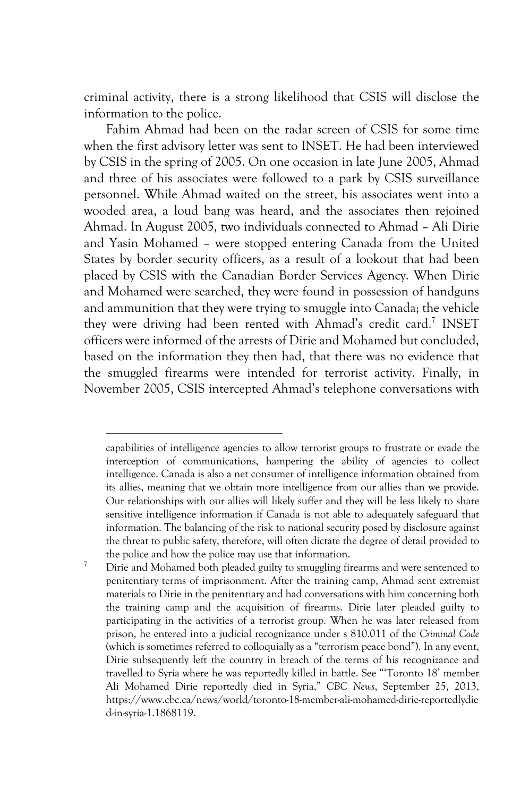criminal activity, there is a strong likelihood that CSIS will disclose the information to the police.

Fahim Ahmad had been on the radar screen of CSIS for some time when the first advisory letter was sent to INSET. He had been interviewed by CSIS in the spring of 2005. On one occasion in late June 2005, Ahmad and three of his associates were followed to a park by CSIS surveillance personnel. While Ahmad waited on the street, his associates went into a wooded area, a loud bang was heard, and the associates then rejoined Ahmad. In August 2005, two individuals connected to Ahmad – Ali Dirie and Yasin Mohamed – were stopped entering Canada from the United States by border security officers, as a result of a lookout that had been placed by CSIS with the Canadian Border Services Agency. When Dirie and Mohamed were searched, they were found in possession of handguns and ammunition that they were trying to smuggle into Canada; the vehicle they were driving had been rented with Ahmad's credit card.7 INSET officers were informed of the arrests of Dirie and Mohamed but concluded, based on the information they then had, that there was no evidence that the smuggled firearms were intended for terrorist activity. Finally, in November 2005, CSIS intercepted Ahmad's telephone conversations with

capabilities of intelligence agencies to allow terrorist groups to frustrate or evade the interception of communications, hampering the ability of agencies to collect intelligence. Canada is also a net consumer of intelligence information obtained from its allies, meaning that we obtain more intelligence from our allies than we provide. Our relationships with our allies will likely suffer and they will be less likely to share sensitive intelligence information if Canada is not able to adequately safeguard that information. The balancing of the risk to national security posed by disclosure against the threat to public safety, therefore, will often dictate the degree of detail provided to the police and how the police may use that information.

<sup>&</sup>lt;sup>7</sup> Dirie and Mohamed both pleaded guilty to smuggling firearms and were sentenced to penitentiary terms of imprisonment. After the training camp, Ahmad sent extremist materials to Dirie in the penitentiary and had conversations with him concerning both the training camp and the acquisition of firearms. Dirie later pleaded guilty to participating in the activities of a terrorist group. When he was later released from prison, he entered into a judicial recognizance under s 810.011 of the *Criminal Code* (which is sometimes referred to colloquially as a "terrorism peace bond"). In any event, Dirie subsequently left the country in breach of the terms of his recognizance and travelled to Syria where he was reportedly killed in battle. See "'Toronto 18' member Ali Mohamed Dirie reportedly died in Syria," *CBC News*, September 25, 2013, https://www.cbc.ca/news/world/toronto-18-member-ali-mohamed-dirie-reportedlydie d-in-syria-1.1868119.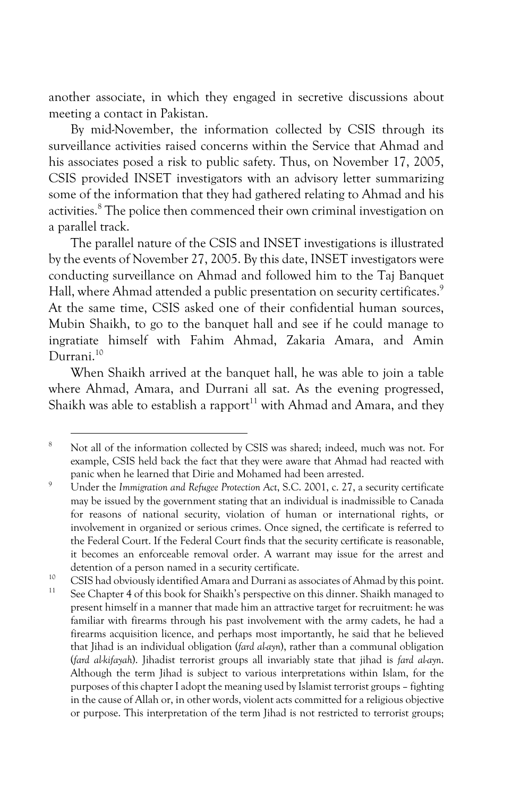another associate, in which they engaged in secretive discussions about meeting a contact in Pakistan.

By mid-November, the information collected by CSIS through its surveillance activities raised concerns within the Service that Ahmad and his associates posed a risk to public safety. Thus, on November 17, 2005, CSIS provided INSET investigators with an advisory letter summarizing some of the information that they had gathered relating to Ahmad and his activities.<sup>8</sup> The police then commenced their own criminal investigation on a parallel track.

The parallel nature of the CSIS and INSET investigations is illustrated by the events of November 27, 2005. By this date, INSET investigators were conducting surveillance on Ahmad and followed him to the Taj Banquet Hall, where Ahmad attended a public presentation on security certificates.<sup>9</sup> At the same time, CSIS asked one of their confidential human sources, Mubin Shaikh, to go to the banquet hall and see if he could manage to ingratiate himself with Fahim Ahmad, Zakaria Amara, and Amin Durrani.10

When Shaikh arrived at the banquet hall, he was able to join a table where Ahmad, Amara, and Durrani all sat. As the evening progressed, Shaikh was able to establish a rapport<sup>11</sup> with Ahmad and Amara, and they

<sup>10</sup> CSIS had obviously identified Amara and Durrani as associates of Ahmad by this point.

<sup>8</sup> <sup>8</sup> Not all of the information collected by CSIS was shared; indeed, much was not. For example, CSIS held back the fact that they were aware that Ahmad had reacted with panic when he learned that Dirie and Mohamed had been arrested.

<sup>9</sup> Under the *Immigration and Refugee Protection Act*, S.C. 2001, c. 27, a security certificate may be issued by the government stating that an individual is inadmissible to Canada for reasons of national security, violation of human or international rights, or involvement in organized or serious crimes. Once signed, the certificate is referred to the Federal Court. If the Federal Court finds that the security certificate is reasonable, it becomes an enforceable removal order. A warrant may issue for the arrest and detention of a person named in a security certificate.

See Chapter 4 of this book for Shaikh's perspective on this dinner. Shaikh managed to present himself in a manner that made him an attractive target for recruitment: he was familiar with firearms through his past involvement with the army cadets, he had a firearms acquisition licence, and perhaps most importantly, he said that he believed that Jihad is an individual obligation (*fard al-ayn*), rather than a communal obligation (*fard al-kifayah*). Jihadist terrorist groups all invariably state that jihad is *fard al-ayn*. Although the term Jihad is subject to various interpretations within Islam, for the purposes of this chapter I adopt the meaning used by Islamist terrorist groups – fighting in the cause of Allah or, in other words, violent acts committed for a religious objective or purpose. This interpretation of the term Jihad is not restricted to terrorist groups;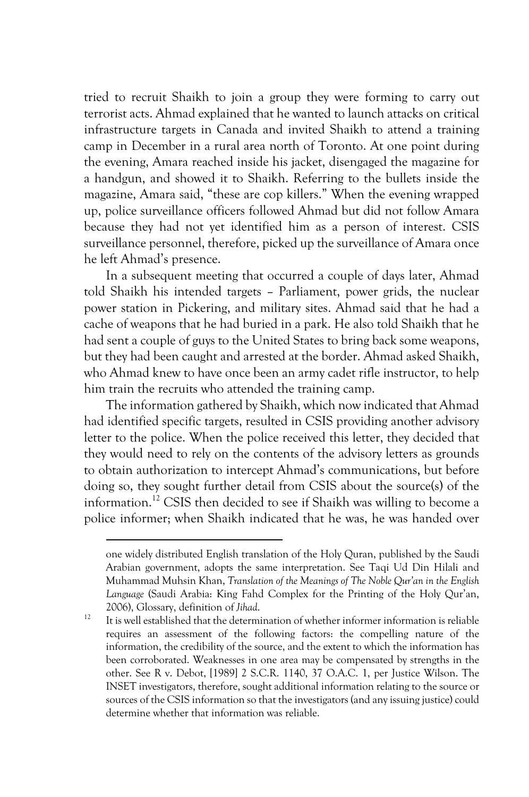tried to recruit Shaikh to join a group they were forming to carry out terrorist acts. Ahmad explained that he wanted to launch attacks on critical infrastructure targets in Canada and invited Shaikh to attend a training camp in December in a rural area north of Toronto. At one point during the evening, Amara reached inside his jacket, disengaged the magazine for a handgun, and showed it to Shaikh. Referring to the bullets inside the magazine, Amara said, "these are cop killers." When the evening wrapped up, police surveillance officers followed Ahmad but did not follow Amara because they had not yet identified him as a person of interest. CSIS surveillance personnel, therefore, picked up the surveillance of Amara once he left Ahmad's presence.

In a subsequent meeting that occurred a couple of days later, Ahmad told Shaikh his intended targets – Parliament, power grids, the nuclear power station in Pickering, and military sites. Ahmad said that he had a cache of weapons that he had buried in a park. He also told Shaikh that he had sent a couple of guys to the United States to bring back some weapons, but they had been caught and arrested at the border. Ahmad asked Shaikh, who Ahmad knew to have once been an army cadet rifle instructor, to help him train the recruits who attended the training camp.

The information gathered by Shaikh, which now indicated that Ahmad had identified specific targets, resulted in CSIS providing another advisory letter to the police. When the police received this letter, they decided that they would need to rely on the contents of the advisory letters as grounds to obtain authorization to intercept Ahmad's communications, but before doing so, they sought further detail from CSIS about the source(s) of the information.12 CSIS then decided to see if Shaikh was willing to become a police informer; when Shaikh indicated that he was, he was handed over

one widely distributed English translation of the Holy Quran, published by the Saudi Arabian government, adopts the same interpretation. See Taqi Ud Din Hilali and Muhammad Muhsin Khan, *Translation of the Meanings of The Noble Qur'an in the English Language* (Saudi Arabia: King Fahd Complex for the Printing of the Holy Qur'an, 2006), Glossary, definition of *Jihad*. 12 It is well established that the determination of whether informer information is reliable

requires an assessment of the following factors: the compelling nature of the information, the credibility of the source, and the extent to which the information has been corroborated. Weaknesses in one area may be compensated by strengths in the other. See R v. Debot, [1989] 2 S.C.R. 1140, 37 O.A.C. 1, per Justice Wilson. The INSET investigators, therefore, sought additional information relating to the source or sources of the CSIS information so that the investigators (and any issuing justice) could determine whether that information was reliable.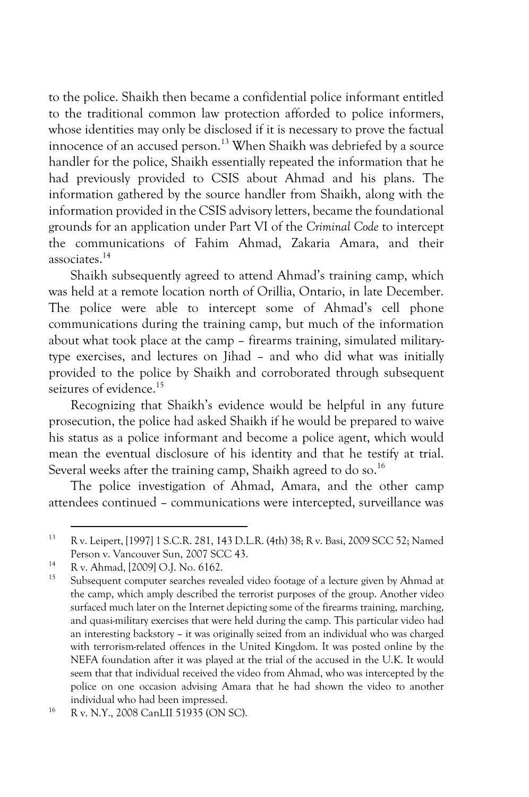to the police. Shaikh then became a confidential police informant entitled to the traditional common law protection afforded to police informers, whose identities may only be disclosed if it is necessary to prove the factual innocence of an accused person.<sup>13</sup> When Shaikh was debriefed by a source handler for the police, Shaikh essentially repeated the information that he had previously provided to CSIS about Ahmad and his plans. The information gathered by the source handler from Shaikh, along with the information provided in the CSIS advisory letters, became the foundational grounds for an application under Part VI of the *Criminal Code* to intercept the communications of Fahim Ahmad, Zakaria Amara, and their associates.14

Shaikh subsequently agreed to attend Ahmad's training camp, which was held at a remote location north of Orillia, Ontario, in late December. The police were able to intercept some of Ahmad's cell phone communications during the training camp, but much of the information about what took place at the camp – firearms training, simulated militarytype exercises, and lectures on Jihad – and who did what was initially provided to the police by Shaikh and corroborated through subsequent seizures of evidence.<sup>15</sup>

Recognizing that Shaikh's evidence would be helpful in any future prosecution, the police had asked Shaikh if he would be prepared to waive his status as a police informant and become a police agent, which would mean the eventual disclosure of his identity and that he testify at trial. Several weeks after the training camp, Shaikh agreed to do so.<sup>16</sup>

The police investigation of Ahmad, Amara, and the other camp attendees continued – communications were intercepted, surveillance was

<sup>13</sup> R v. Leipert, [1997] 1 S.C.R. 281, 143 D.L.R. (4th) 38; R v. Basi, 2009 SCC 52; Named Person v. Vancouver Sun, 2007 SCC 43.<br>
<sup>14</sup> R v. Ahmad, [2009] O.J. No. 6162.

Subsequent computer searches revealed video footage of a lecture given by Ahmad at the camp, which amply described the terrorist purposes of the group. Another video surfaced much later on the Internet depicting some of the firearms training, marching, and quasi-military exercises that were held during the camp. This particular video had an interesting backstory – it was originally seized from an individual who was charged with terrorism-related offences in the United Kingdom. It was posted online by the NEFA foundation after it was played at the trial of the accused in the U.K. It would seem that that individual received the video from Ahmad, who was intercepted by the police on one occasion advising Amara that he had shown the video to another individual who had been impressed.

<sup>16</sup> R v. N.Y., 2008 CanLII 51935 (ON SC).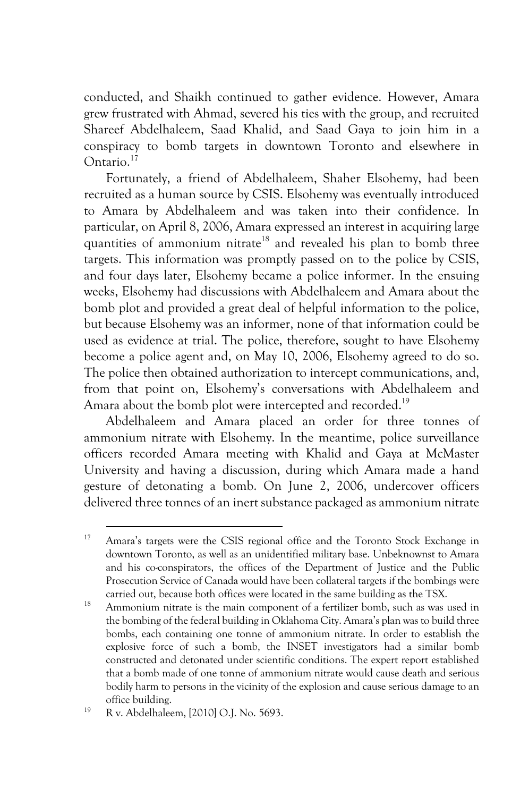conducted, and Shaikh continued to gather evidence. However, Amara grew frustrated with Ahmad, severed his ties with the group, and recruited Shareef Abdelhaleem, Saad Khalid, and Saad Gaya to join him in a conspiracy to bomb targets in downtown Toronto and elsewhere in Ontario.17

Fortunately, a friend of Abdelhaleem, Shaher Elsohemy, had been recruited as a human source by CSIS. Elsohemy was eventually introduced to Amara by Abdelhaleem and was taken into their confidence. In particular, on April 8, 2006, Amara expressed an interest in acquiring large quantities of ammonium nitrate<sup>18</sup> and revealed his plan to bomb three targets. This information was promptly passed on to the police by CSIS, and four days later, Elsohemy became a police informer. In the ensuing weeks, Elsohemy had discussions with Abdelhaleem and Amara about the bomb plot and provided a great deal of helpful information to the police, but because Elsohemy was an informer, none of that information could be used as evidence at trial. The police, therefore, sought to have Elsohemy become a police agent and, on May 10, 2006, Elsohemy agreed to do so. The police then obtained authorization to intercept communications, and, from that point on, Elsohemy's conversations with Abdelhaleem and Amara about the bomb plot were intercepted and recorded.<sup>19</sup>

Abdelhaleem and Amara placed an order for three tonnes of ammonium nitrate with Elsohemy. In the meantime, police surveillance officers recorded Amara meeting with Khalid and Gaya at McMaster University and having a discussion, during which Amara made a hand gesture of detonating a bomb. On June 2, 2006, undercover officers delivered three tonnes of an inert substance packaged as ammonium nitrate

<sup>&</sup>lt;sup>17</sup> Amara's targets were the CSIS regional office and the Toronto Stock Exchange in downtown Toronto, as well as an unidentified military base. Unbeknownst to Amara and his co-conspirators, the offices of the Department of Justice and the Public Prosecution Service of Canada would have been collateral targets if the bombings were carried out, because both offices were located in the same building as the TSX.

<sup>&</sup>lt;sup>18</sup> Ammonium nitrate is the main component of a fertilizer bomb, such as was used in the bombing of the federal building in Oklahoma City. Amara's plan was to build three bombs, each containing one tonne of ammonium nitrate. In order to establish the explosive force of such a bomb, the INSET investigators had a similar bomb constructed and detonated under scientific conditions. The expert report established that a bomb made of one tonne of ammonium nitrate would cause death and serious bodily harm to persons in the vicinity of the explosion and cause serious damage to an office building.

<sup>19</sup> R v. Abdelhaleem, [2010] O.J. No. 5693.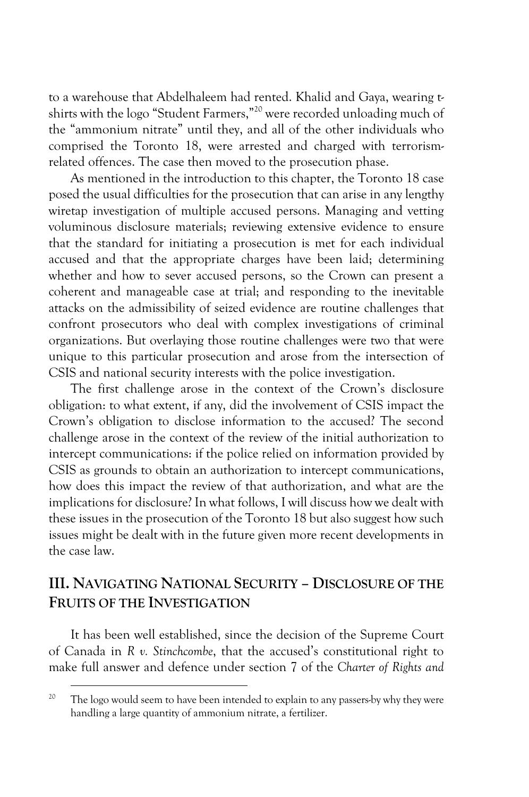to a warehouse that Abdelhaleem had rented. Khalid and Gaya, wearing tshirts with the logo "Student Farmers," <sup>20</sup> were recorded unloading much of the "ammonium nitrate" until they, and all of the other individuals who comprised the Toronto 18, were arrested and charged with terrorismrelated offences. The case then moved to the prosecution phase.

As mentioned in the introduction to this chapter, the Toronto 18 case posed the usual difficulties for the prosecution that can arise in any lengthy wiretap investigation of multiple accused persons. Managing and vetting voluminous disclosure materials; reviewing extensive evidence to ensure that the standard for initiating a prosecution is met for each individual accused and that the appropriate charges have been laid; determining whether and how to sever accused persons, so the Crown can present a coherent and manageable case at trial; and responding to the inevitable attacks on the admissibility of seized evidence are routine challenges that confront prosecutors who deal with complex investigations of criminal organizations. But overlaying those routine challenges were two that were unique to this particular prosecution and arose from the intersection of CSIS and national security interests with the police investigation.

The first challenge arose in the context of the Crown's disclosure obligation: to what extent, if any, did the involvement of CSIS impact the Crown's obligation to disclose information to the accused? The second challenge arose in the context of the review of the initial authorization to intercept communications: if the police relied on information provided by CSIS as grounds to obtain an authorization to intercept communications, how does this impact the review of that authorization, and what are the implications for disclosure? In what follows, I will discuss how we dealt with these issues in the prosecution of the Toronto 18 but also suggest how such issues might be dealt with in the future given more recent developments in the case law.

# **III. NAVIGATING NATIONAL SECURITY – DISCLOSURE OF THE FRUITS OF THE INVESTIGATION**

It has been well established, since the decision of the Supreme Court of Canada in *R v. Stinchcombe*, that the accused's constitutional right to make full answer and defence under section 7 of the *Charter of Rights and* 

 $2.0$ The logo would seem to have been intended to explain to any passers-by why they were handling a large quantity of ammonium nitrate, a fertilizer.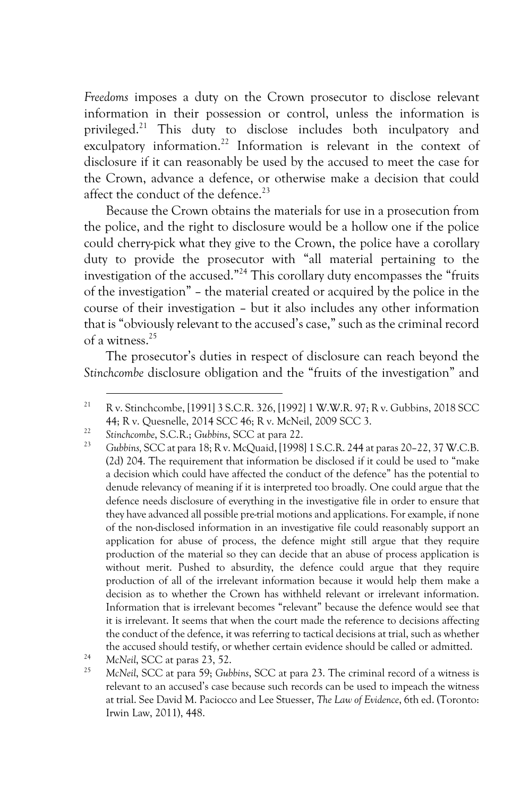*Freedoms* imposes a duty on the Crown prosecutor to disclose relevant information in their possession or control, unless the information is privileged.21 This duty to disclose includes both inculpatory and exculpatory information.<sup>22</sup> Information is relevant in the context of disclosure if it can reasonably be used by the accused to meet the case for the Crown, advance a defence, or otherwise make a decision that could affect the conduct of the defence.<sup>23</sup>

Because the Crown obtains the materials for use in a prosecution from the police, and the right to disclosure would be a hollow one if the police could cherry-pick what they give to the Crown, the police have a corollary duty to provide the prosecutor with "all material pertaining to the investigation of the accused."24 This corollary duty encompasses the "fruits of the investigation" – the material created or acquired by the police in the course of their investigation – but it also includes any other information that is "obviously relevant to the accused's case," such as the criminal record of a witness.25

The prosecutor's duties in respect of disclosure can reach beyond the *Stinchcombe* disclosure obligation and the "fruits of the investigation" and

<sup>21</sup> R v. Stinchcombe, [1991] 3 S.C.R. 326, [1992] 1 W.W.R. 97; R v. Gubbins, 2018 SCC 44; R v. Quesnelle, 2014 SCC 46; R v. McNeil, 2009 SCC 3. 22 *Stinchcombe*, S.C.R.; *Gubbins*, SCC at para 22.

<sup>23</sup> *Gubbins,* SCC at para 18; R v. McQuaid, [1998] 1 S.C.R. 244 at paras 20–22, 37 W.C.B. (2d) 204. The requirement that information be disclosed if it could be used to "make a decision which could have affected the conduct of the defence" has the potential to denude relevancy of meaning if it is interpreted too broadly. One could argue that the defence needs disclosure of everything in the investigative file in order to ensure that they have advanced all possible pre-trial motions and applications. For example, if none of the non-disclosed information in an investigative file could reasonably support an application for abuse of process, the defence might still argue that they require production of the material so they can decide that an abuse of process application is without merit. Pushed to absurdity, the defence could argue that they require production of all of the irrelevant information because it would help them make a decision as to whether the Crown has withheld relevant or irrelevant information. Information that is irrelevant becomes "relevant" because the defence would see that it is irrelevant. It seems that when the court made the reference to decisions affecting the conduct of the defence, it was referring to tactical decisions at trial, such as whether the accused should testify, or whether certain evidence should be called or admitted. 24 *McNeil*, SCC at paras 23, 52.

<sup>25</sup> *McNeil*, SCC at para 59; *Gubbins*, SCC at para 23. The criminal record of a witness is relevant to an accused's case because such records can be used to impeach the witness at trial. See David M. Paciocco and Lee Stuesser, *The Law of Evidence*, 6th ed. (Toronto: Irwin Law, 2011), 448.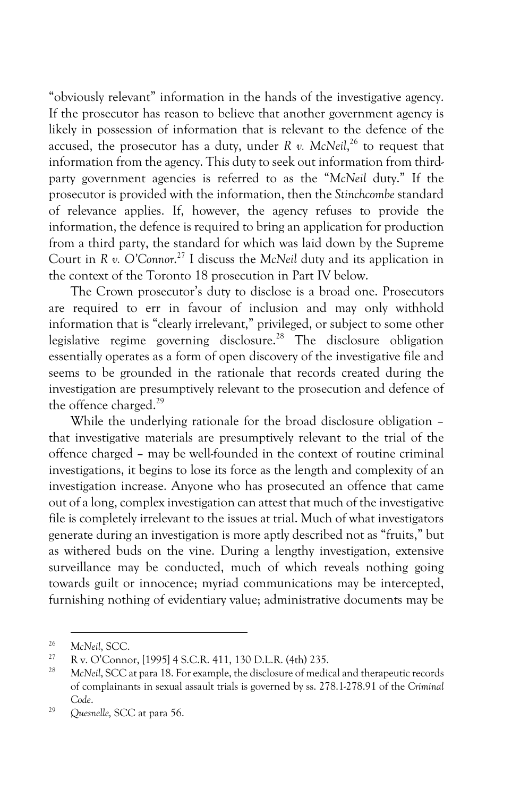"obviously relevant" information in the hands of the investigative agency. If the prosecutor has reason to believe that another government agency is likely in possession of information that is relevant to the defence of the accused, the prosecutor has a duty, under *R v. McNeil*, <sup>26</sup> to request that information from the agency. This duty to seek out information from thirdparty government agencies is referred to as the "*McNeil* duty." If the prosecutor is provided with the information, then the *Stinchcombe* standard of relevance applies. If, however, the agency refuses to provide the information, the defence is required to bring an application for production from a third party, the standard for which was laid down by the Supreme Court in *R v. O'Connor*. <sup>27</sup> I discuss the *McNeil* duty and its application in the context of the Toronto 18 prosecution in Part IV below.

The Crown prosecutor's duty to disclose is a broad one. Prosecutors are required to err in favour of inclusion and may only withhold information that is "clearly irrelevant," privileged, or subject to some other legislative regime governing disclosure.<sup>28</sup> The disclosure obligation essentially operates as a form of open discovery of the investigative file and seems to be grounded in the rationale that records created during the investigation are presumptively relevant to the prosecution and defence of the offence charged.<sup>29</sup>

While the underlying rationale for the broad disclosure obligation that investigative materials are presumptively relevant to the trial of the offence charged – may be well-founded in the context of routine criminal investigations, it begins to lose its force as the length and complexity of an investigation increase. Anyone who has prosecuted an offence that came out of a long, complex investigation can attest that much of the investigative file is completely irrelevant to the issues at trial. Much of what investigators generate during an investigation is more aptly described not as "fruits," but as withered buds on the vine. During a lengthy investigation, extensive surveillance may be conducted, much of which reveals nothing going towards guilt or innocence; myriad communications may be intercepted, furnishing nothing of evidentiary value; administrative documents may be

<sup>&</sup>lt;sup>26</sup> McNeil, SCC.

<sup>27</sup> R v. O'Connor, [1995] 4 S.C.R. 411, 130 D.L.R. (4th) 235.

<sup>28</sup> *McNeil*, SCC at para 18. For example, the disclosure of medical and therapeutic records of complainants in sexual assault trials is governed by ss. 278.1-278.91 of the *Criminal Code*.

<sup>29</sup> *Quesnelle,* SCC at para 56.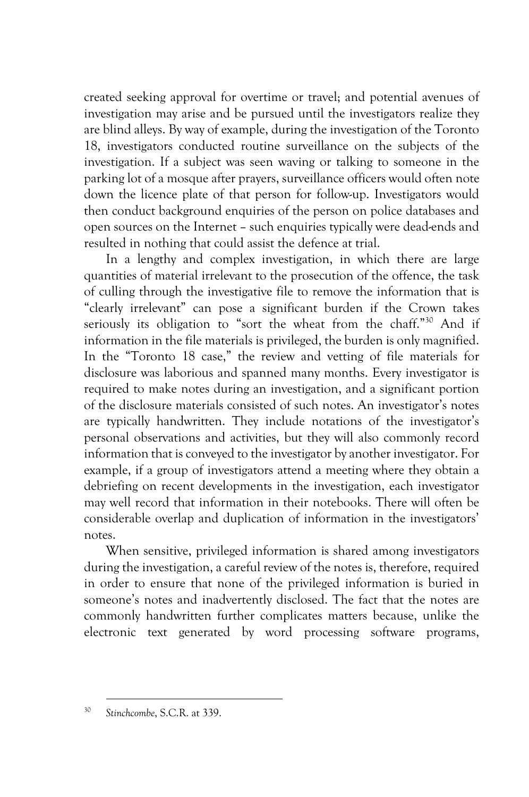created seeking approval for overtime or travel; and potential avenues of investigation may arise and be pursued until the investigators realize they are blind alleys. By way of example, during the investigation of the Toronto 18, investigators conducted routine surveillance on the subjects of the investigation. If a subject was seen waving or talking to someone in the parking lot of a mosque after prayers, surveillance officers would often note down the licence plate of that person for follow-up. Investigators would then conduct background enquiries of the person on police databases and open sources on the Internet – such enquiries typically were dead-ends and resulted in nothing that could assist the defence at trial.

In a lengthy and complex investigation, in which there are large quantities of material irrelevant to the prosecution of the offence, the task of culling through the investigative file to remove the information that is "clearly irrelevant" can pose a significant burden if the Crown takes seriously its obligation to "sort the wheat from the chaff." <sup>30</sup> And if information in the file materials is privileged, the burden is only magnified. In the "Toronto 18 case," the review and vetting of file materials for disclosure was laborious and spanned many months. Every investigator is required to make notes during an investigation, and a significant portion of the disclosure materials consisted of such notes. An investigator's notes are typically handwritten. They include notations of the investigator's personal observations and activities, but they will also commonly record information that is conveyed to the investigator by another investigator. For example, if a group of investigators attend a meeting where they obtain a debriefing on recent developments in the investigation, each investigator may well record that information in their notebooks. There will often be considerable overlap and duplication of information in the investigators' notes.

When sensitive, privileged information is shared among investigators during the investigation, a careful review of the notes is, therefore, required in order to ensure that none of the privileged information is buried in someone's notes and inadvertently disclosed. The fact that the notes are commonly handwritten further complicates matters because, unlike the electronic text generated by word processing software programs,

<sup>30</sup> *Stinchcombe*, S.C.R. at 339.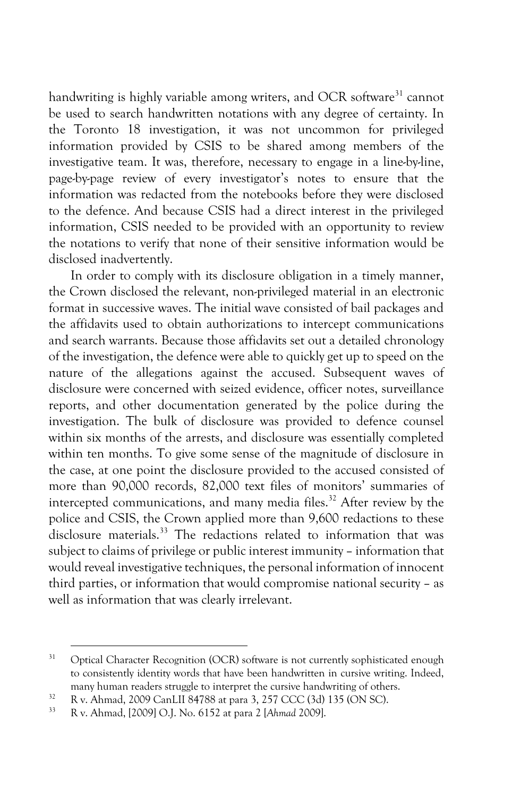handwriting is highly variable among writers, and OCR software<sup>31</sup> cannot be used to search handwritten notations with any degree of certainty. In the Toronto 18 investigation, it was not uncommon for privileged information provided by CSIS to be shared among members of the investigative team. It was, therefore, necessary to engage in a line-by-line, page-by-page review of every investigator's notes to ensure that the information was redacted from the notebooks before they were disclosed to the defence. And because CSIS had a direct interest in the privileged information, CSIS needed to be provided with an opportunity to review the notations to verify that none of their sensitive information would be disclosed inadvertently.

In order to comply with its disclosure obligation in a timely manner, the Crown disclosed the relevant, non-privileged material in an electronic format in successive waves. The initial wave consisted of bail packages and the affidavits used to obtain authorizations to intercept communications and search warrants. Because those affidavits set out a detailed chronology of the investigation, the defence were able to quickly get up to speed on the nature of the allegations against the accused. Subsequent waves of disclosure were concerned with seized evidence, officer notes, surveillance reports, and other documentation generated by the police during the investigation. The bulk of disclosure was provided to defence counsel within six months of the arrests, and disclosure was essentially completed within ten months. To give some sense of the magnitude of disclosure in the case, at one point the disclosure provided to the accused consisted of more than 90,000 records, 82,000 text files of monitors' summaries of intercepted communications, and many media files. $32$  After review by the police and CSIS, the Crown applied more than 9,600 redactions to these disclosure materials.<sup>33</sup> The redactions related to information that was subject to claims of privilege or public interest immunity – information that would reveal investigative techniques, the personal information of innocent third parties, or information that would compromise national security – as well as information that was clearly irrelevant.

<sup>&</sup>lt;sup>31</sup> Optical Character Recognition (OCR) software is not currently sophisticated enough to consistently identity words that have been handwritten in cursive writing. Indeed, many human readers struggle to interpret the cursive handwriting of others.<br>
<sup>32</sup> R v. Ahmad, 2009 CanLII 84788 at para 3, 257 CCC (3d) 135 (ON SC).<br>
<sup>33</sup> R v. Ahmad, 2000LO LN<sub>2</sub>, 6152 at name 2, [Ahmad 2000L

<sup>33</sup> R v. Ahmad, [2009] O.J. No. 6152 at para 2 [*Ahmad* 2009].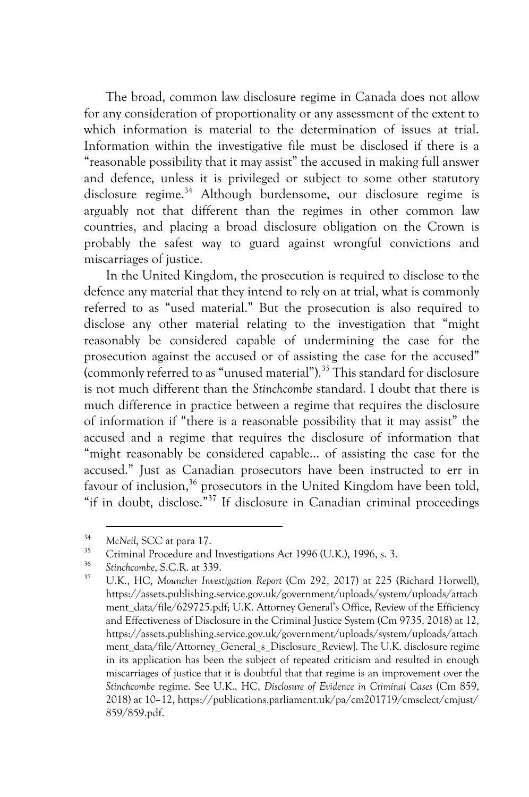The broad, common law disclosure regime in Canada does not allow for any consideration of proportionality or any assessment of the extent to which information is material to the determination of issues at trial. Information within the investigative file must be disclosed if there is a "reasonable possibility that it may assist" the accused in making full answer and defence, unless it is privileged or subject to some other statutory disclosure regime.<sup>34</sup> Although burdensome, our disclosure regime is arguably not that different than the regimes in other common law countries, and placing a broad disclosure obligation on the Crown is probably the safest way to guard against wrongful convictions and miscarriages of justice.

In the United Kingdom, the prosecution is required to disclose to the defence any material that they intend to rely on at trial, what is commonly referred to as "used material." But the prosecution is also required to disclose any other material relating to the investigation that "might reasonably be considered capable of undermining the case for the prosecution against the accused or of assisting the case for the accused" (commonly referred to as "unused material").35 This standard for disclosure is not much different than the *Stinchcombe* standard. I doubt that there is much difference in practice between a regime that requires the disclosure of information if "there is a reasonable possibility that it may assist" the accused and a regime that requires the disclosure of information that "might reasonably be considered capable… of assisting the case for the accused." Just as Canadian prosecutors have been instructed to err in favour of inclusion,  $36$  prosecutors in the United Kingdom have been told, "if in doubt, disclose."37 If disclosure in Canadian criminal proceedings

<sup>34</sup> *McNeil*, SCC at para 17.

<sup>&</sup>lt;sup>35</sup> Criminal Procedure and Investigations Act 1996 (U.K.), 1996, s. 3.

<sup>36</sup> *Stinchcombe*, S.C.R. at 339.

<sup>37</sup> U.K., HC, *Mouncher Investigation Report* (Cm 292, 2017) at 225 (Richard Horwell), https://assets.publishing.service.gov.uk/government/uploads/system/uploads/attach ment\_data/file/629725.pdf; U.K. Attorney General's Office, Review of the Efficiency and Effectiveness of Disclosure in the Criminal Justice System (Cm 9735, 2018) at 12, https://assets.publishing.service.gov.uk/government/uploads/system/uploads/attach ment\_data/file/Attorney\_General\_s\_Disclosure\_Review]. The U.K. disclosure regime in its application has been the subject of repeated criticism and resulted in enough miscarriages of justice that it is doubtful that that regime is an improvement over the *Stinchcombe* regime. See U.K., HC, *Disclosure of Evidence in Criminal Cases* (Cm 859, 2018) at 10–12, https://publications.parliament.uk/pa/cm201719/cmselect/cmjust/ 859/859.pdf.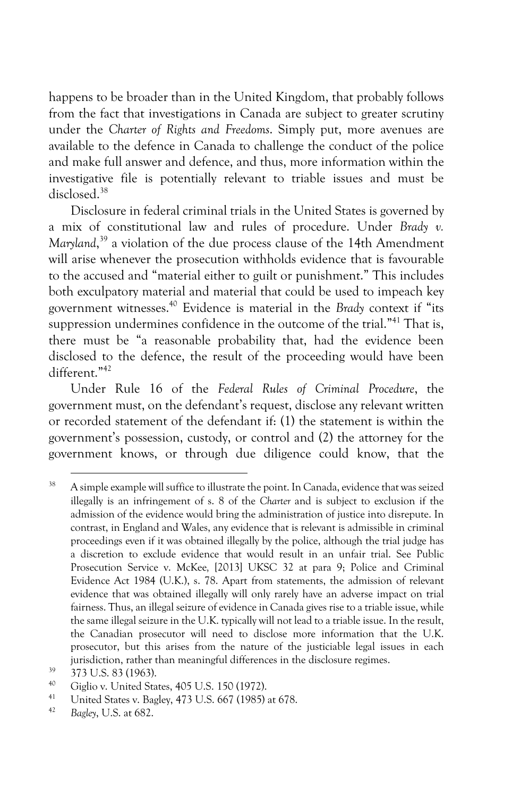happens to be broader than in the United Kingdom, that probably follows from the fact that investigations in Canada are subject to greater scrutiny under the *Charter of Rights and Freedoms*. Simply put, more avenues are available to the defence in Canada to challenge the conduct of the police and make full answer and defence, and thus, more information within the investigative file is potentially relevant to triable issues and must be disclosed.<sup>38</sup>

Disclosure in federal criminal trials in the United States is governed by a mix of constitutional law and rules of procedure. Under *Brady v. Maryland*, <sup>39</sup> a violation of the due process clause of the 14th Amendment will arise whenever the prosecution withholds evidence that is favourable to the accused and "material either to guilt or punishment." This includes both exculpatory material and material that could be used to impeach key government witnesses.40 Evidence is material in the *Brady* context if "its suppression undermines confidence in the outcome of the trial."<sup>41</sup> That is, there must be "a reasonable probability that, had the evidence been disclosed to the defence, the result of the proceeding would have been different."42

Under Rule 16 of the *Federal Rules of Criminal Procedure*, the government must, on the defendant's request, disclose any relevant written or recorded statement of the defendant if: (1) the statement is within the government's possession, custody, or control and (2) the attorney for the government knows, or through due diligence could know, that the

<sup>&</sup>lt;sup>38</sup> A simple example will suffice to illustrate the point. In Canada, evidence that was seized illegally is an infringement of s. 8 of the *Charter* and is subject to exclusion if the admission of the evidence would bring the administration of justice into disrepute. In contrast, in England and Wales, any evidence that is relevant is admissible in criminal proceedings even if it was obtained illegally by the police, although the trial judge has a discretion to exclude evidence that would result in an unfair trial. See Public Prosecution Service v. McKee*,* [2013] UKSC 32 at para 9; Police and Criminal Evidence Act 1984 (U.K.), s. 78. Apart from statements, the admission of relevant evidence that was obtained illegally will only rarely have an adverse impact on trial fairness. Thus, an illegal seizure of evidence in Canada gives rise to a triable issue, while the same illegal seizure in the U.K. typically will not lead to a triable issue. In the result, the Canadian prosecutor will need to disclose more information that the U.K. prosecutor, but this arises from the nature of the justiciable legal issues in each jurisdiction, rather than meaningful differences in the disclosure regimes.

 $39$  373 U.S. 83 (1963).

<sup>&</sup>lt;sup>40</sup> Giglio v. United States, 405 U.S. 150 (1972).

<sup>&</sup>lt;sup>41</sup> United States v. Bagley, 473 U.S. 667 (1985) at 678.

<sup>42</sup> *Bagley*, U.S. at 682.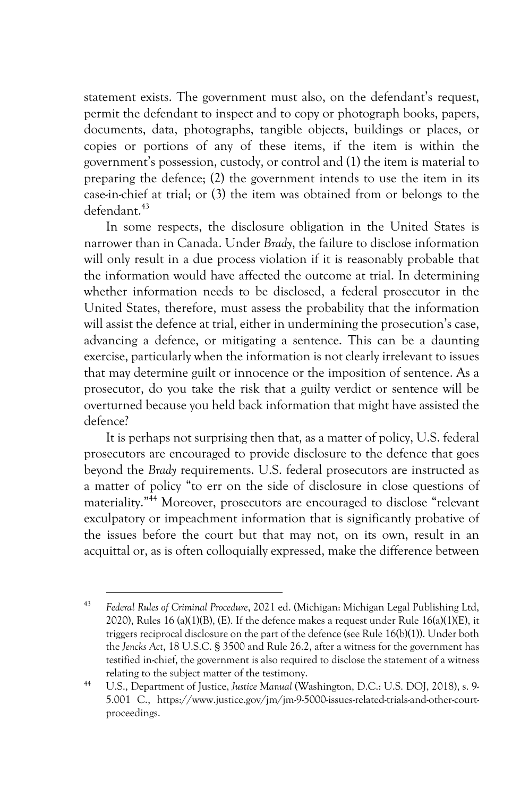statement exists. The government must also, on the defendant's request, permit the defendant to inspect and to copy or photograph books, papers, documents, data, photographs, tangible objects, buildings or places, or copies or portions of any of these items, if the item is within the government's possession, custody, or control and (1) the item is material to preparing the defence; (2) the government intends to use the item in its case-in-chief at trial; or (3) the item was obtained from or belongs to the defendant.43

In some respects, the disclosure obligation in the United States is narrower than in Canada. Under *Brady*, the failure to disclose information will only result in a due process violation if it is reasonably probable that the information would have affected the outcome at trial. In determining whether information needs to be disclosed, a federal prosecutor in the United States, therefore, must assess the probability that the information will assist the defence at trial, either in undermining the prosecution's case, advancing a defence, or mitigating a sentence. This can be a daunting exercise, particularly when the information is not clearly irrelevant to issues that may determine guilt or innocence or the imposition of sentence. As a prosecutor, do you take the risk that a guilty verdict or sentence will be overturned because you held back information that might have assisted the defence?

It is perhaps not surprising then that, as a matter of policy, U.S. federal prosecutors are encouraged to provide disclosure to the defence that goes beyond the *Brady* requirements. U.S. federal prosecutors are instructed as a matter of policy "to err on the side of disclosure in close questions of materiality." <sup>44</sup> Moreover, prosecutors are encouraged to disclose "relevant exculpatory or impeachment information that is significantly probative of the issues before the court but that may not, on its own, result in an acquittal or, as is often colloquially expressed, make the difference between

<sup>43</sup> *Federal Rules of Criminal Procedure*, 2021 ed. (Michigan: Michigan Legal Publishing Ltd, 2020), Rules 16 (a)(1)(B), (E). If the defence makes a request under Rule 16(a)(1)(E), it triggers reciprocal disclosure on the part of the defence (see Rule 16(b)(1)). Under both the *Jencks Act*, 18 U.S.C. § 3500 and Rule 26.2, after a witness for the government has testified in-chief, the government is also required to disclose the statement of a witness relating to the subject matter of the testimony. 44 U.S., Department of Justice, *Justice Manual* (Washington, D.C.: U.S. DOJ, 2018), s. 9-

<sup>5.001</sup> C., https://www.justice.gov/jm/jm-9-5000-issues-related-trials-and-other-courtproceedings.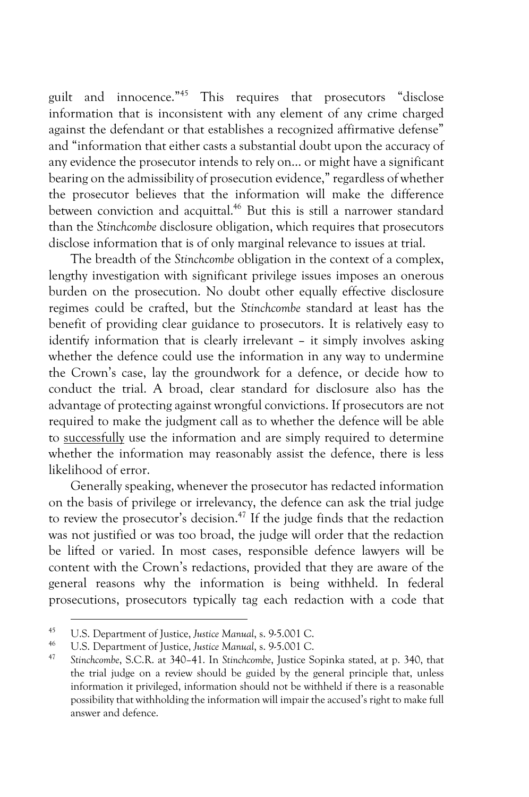guilt and innocence."45 This requires that prosecutors "disclose information that is inconsistent with any element of any crime charged against the defendant or that establishes a recognized affirmative defense" and "information that either casts a substantial doubt upon the accuracy of any evidence the prosecutor intends to rely on… or might have a significant bearing on the admissibility of prosecution evidence," regardless of whether the prosecutor believes that the information will make the difference between conviction and acquittal.<sup>46</sup> But this is still a narrower standard than the *Stinchcombe* disclosure obligation, which requires that prosecutors disclose information that is of only marginal relevance to issues at trial.

The breadth of the *Stinchcombe* obligation in the context of a complex, lengthy investigation with significant privilege issues imposes an onerous burden on the prosecution. No doubt other equally effective disclosure regimes could be crafted, but the *Stinchcombe* standard at least has the benefit of providing clear guidance to prosecutors. It is relatively easy to identify information that is clearly irrelevant – it simply involves asking whether the defence could use the information in any way to undermine the Crown's case, lay the groundwork for a defence, or decide how to conduct the trial. A broad, clear standard for disclosure also has the advantage of protecting against wrongful convictions. If prosecutors are not required to make the judgment call as to whether the defence will be able to successfully use the information and are simply required to determine whether the information may reasonably assist the defence, there is less likelihood of error.

Generally speaking, whenever the prosecutor has redacted information on the basis of privilege or irrelevancy, the defence can ask the trial judge to review the prosecutor's decision.<sup>47</sup> If the judge finds that the redaction was not justified or was too broad, the judge will order that the redaction be lifted or varied. In most cases, responsible defence lawyers will be content with the Crown's redactions, provided that they are aware of the general reasons why the information is being withheld. In federal prosecutions, prosecutors typically tag each redaction with a code that

<sup>&</sup>lt;sup>45</sup> U.S. Department of Justice, *Justice Manual*, s. 9-5.001 C.<br><sup>46</sup> U.S. Department of Justice, *Justice Manual*, s. 9-5.001 C.<br><sup>47</sup> Stinchcombe, S.C.R. at 340–41. In Stinchcombe, Justice Sopinka stated, at p. 340, that the trial judge on a review should be guided by the general principle that, unless information it privileged, information should not be withheld if there is a reasonable possibility that withholding the information will impair the accused's right to make full answer and defence.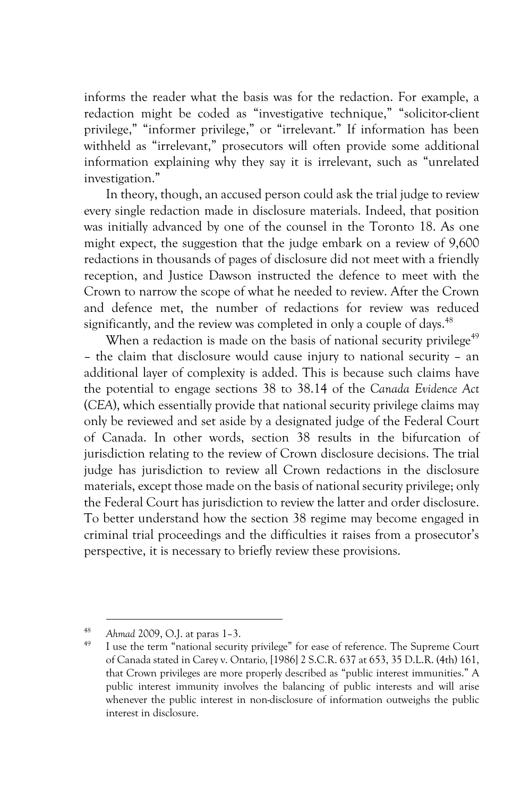informs the reader what the basis was for the redaction. For example, a redaction might be coded as "investigative technique," "solicitor-client privilege," "informer privilege," or "irrelevant." If information has been withheld as "irrelevant," prosecutors will often provide some additional information explaining why they say it is irrelevant, such as "unrelated investigation."

In theory, though, an accused person could ask the trial judge to review every single redaction made in disclosure materials. Indeed, that position was initially advanced by one of the counsel in the Toronto 18. As one might expect, the suggestion that the judge embark on a review of 9,600 redactions in thousands of pages of disclosure did not meet with a friendly reception, and Justice Dawson instructed the defence to meet with the Crown to narrow the scope of what he needed to review. After the Crown and defence met, the number of redactions for review was reduced significantly, and the review was completed in only a couple of days.<sup>48</sup>

When a redaction is made on the basis of national security privilege<sup>49</sup> – the claim that disclosure would cause injury to national security – an additional layer of complexity is added. This is because such claims have the potential to engage sections 38 to 38.14 of the *Canada Evidence Act*  (*CEA*), which essentially provide that national security privilege claims may only be reviewed and set aside by a designated judge of the Federal Court of Canada. In other words, section 38 results in the bifurcation of jurisdiction relating to the review of Crown disclosure decisions. The trial judge has jurisdiction to review all Crown redactions in the disclosure materials, except those made on the basis of national security privilege; only the Federal Court has jurisdiction to review the latter and order disclosure. To better understand how the section 38 regime may become engaged in criminal trial proceedings and the difficulties it raises from a prosecutor's perspective, it is necessary to briefly review these provisions.

<sup>&</sup>lt;sup>48</sup> Ahmad 2009, O.J. at paras 1–3.<br><sup>49</sup> I use the term "national security privilege" for ease of reference. The Supreme Court of Canada stated in Carey v. Ontario*,* [1986] 2 S.C.R. 637 at 653, 35 D.L.R. (4th) 161, that Crown privileges are more properly described as "public interest immunities." A public interest immunity involves the balancing of public interests and will arise whenever the public interest in non-disclosure of information outweighs the public interest in disclosure.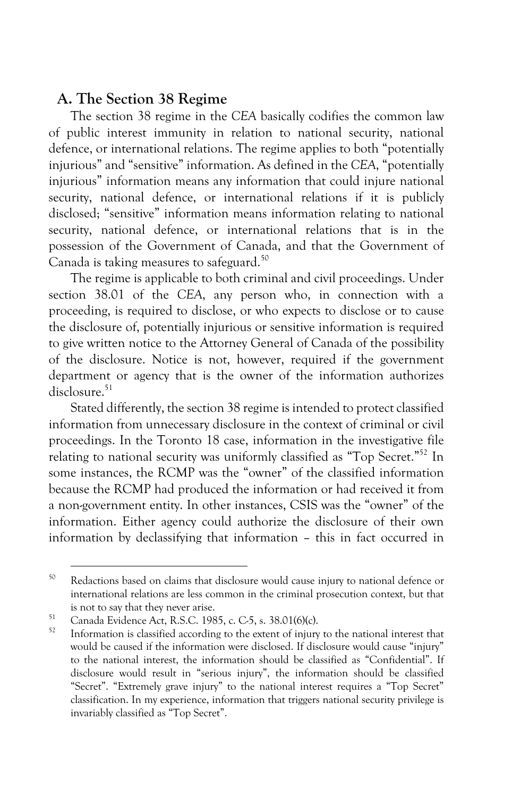### **A. The Section 38 Regime**

The section 38 regime in the *CEA* basically codifies the common law of public interest immunity in relation to national security, national defence, or international relations. The regime applies to both "potentially injurious" and "sensitive" information. As defined in the *CEA*, "potentially injurious" information means any information that could injure national security, national defence, or international relations if it is publicly disclosed; "sensitive" information means information relating to national security, national defence, or international relations that is in the possession of the Government of Canada, and that the Government of Canada is taking measures to safeguard.<sup>50</sup>

The regime is applicable to both criminal and civil proceedings. Under section 38.01 of the *CEA*, any person who, in connection with a proceeding, is required to disclose, or who expects to disclose or to cause the disclosure of, potentially injurious or sensitive information is required to give written notice to the Attorney General of Canada of the possibility of the disclosure. Notice is not, however, required if the government department or agency that is the owner of the information authorizes  $disclosure<sup>51</sup>$ 

Stated differently, the section 38 regime is intended to protect classified information from unnecessary disclosure in the context of criminal or civil proceedings. In the Toronto 18 case, information in the investigative file relating to national security was uniformly classified as "Top Secret."<sup>52</sup> In some instances, the RCMP was the "owner" of the classified information because the RCMP had produced the information or had received it from a non-government entity. In other instances, CSIS was the "owner" of the information. Either agency could authorize the disclosure of their own information by declassifying that information – this in fact occurred in

<sup>&</sup>lt;sup>50</sup> Redactions based on claims that disclosure would cause injury to national defence or international relations are less common in the criminal prosecution context, but that is not to say that they never arise.

<sup>&</sup>lt;sup>51</sup> Canada Evidence Act, R.S.C. 1985, c. C-5, s. 38.01(6)(c).<br> $\frac{52}{2}$  Information is closified according to the sutpat of injury

Information is classified according to the extent of injury to the national interest that would be caused if the information were disclosed. If disclosure would cause "injury" to the national interest, the information should be classified as "Confidential". If disclosure would result in "serious injury", the information should be classified "Secret". "Extremely grave injury" to the national interest requires a "Top Secret" classification. In my experience, information that triggers national security privilege is invariably classified as "Top Secret".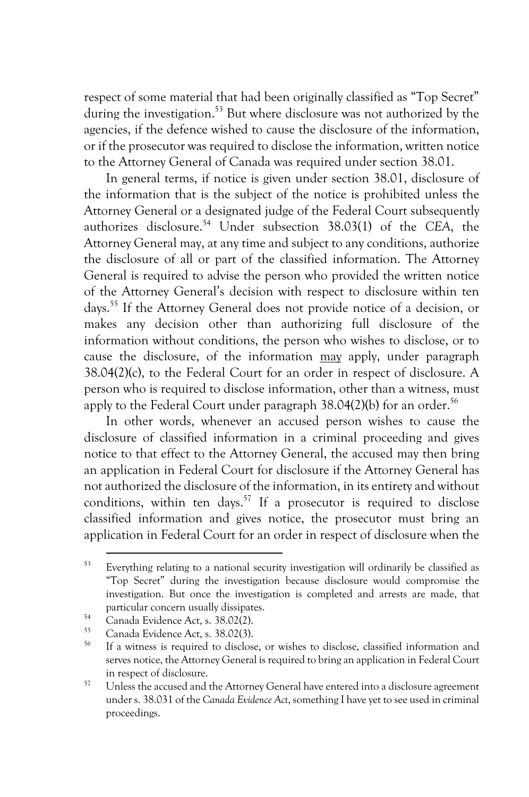respect of some material that had been originally classified as "Top Secret" during the investigation. <sup>53</sup> But where disclosure was not authorized by the agencies, if the defence wished to cause the disclosure of the information, or if the prosecutor was required to disclose the information, written notice to the Attorney General of Canada was required under section 38.01.

In general terms, if notice is given under section 38.01, disclosure of the information that is the subject of the notice is prohibited unless the Attorney General or a designated judge of the Federal Court subsequently authorizes disclosure.54 Under subsection 38.03(1) of the *CEA*, the Attorney General may, at any time and subject to any conditions, authorize the disclosure of all or part of the classified information. The Attorney General is required to advise the person who provided the written notice of the Attorney General's decision with respect to disclosure within ten days.55 If the Attorney General does not provide notice of a decision, or makes any decision other than authorizing full disclosure of the information without conditions, the person who wishes to disclose, or to cause the disclosure, of the information may apply, under paragraph 38.04(2)(c), to the Federal Court for an order in respect of disclosure. A person who is required to disclose information, other than a witness, must apply to the Federal Court under paragraph  $38.04(2)(b)$  for an order.<sup>56</sup>

In other words, whenever an accused person wishes to cause the disclosure of classified information in a criminal proceeding and gives notice to that effect to the Attorney General, the accused may then bring an application in Federal Court for disclosure if the Attorney General has not authorized the disclosure of the information, in its entirety and without conditions, within ten days.<sup>57</sup> If a prosecutor is required to disclose classified information and gives notice, the prosecutor must bring an application in Federal Court for an order in respect of disclosure when the

<sup>53</sup> Everything relating to a national security investigation will ordinarily be classified as "Top Secret" during the investigation because disclosure would compromise the investigation. But once the investigation is completed and arrests are made, that particular concern usually dissipates.

<sup>&</sup>lt;sup>54</sup> Canada Evidence Act, s.  $38.02(2)$ .

 $^{55}$  Canada Evidence Act, s. 38.02(3).

If a witness is required to disclose, or wishes to disclose, classified information and serves notice, the Attorney General is required to bring an application in Federal Court in respect of disclosure.

<sup>&</sup>lt;sup>57</sup> Unless the accused and the Attorney General have entered into a disclosure agreement under s. 38.031 of the *Canada Evidence Act*, something I have yet to see used in criminal proceedings.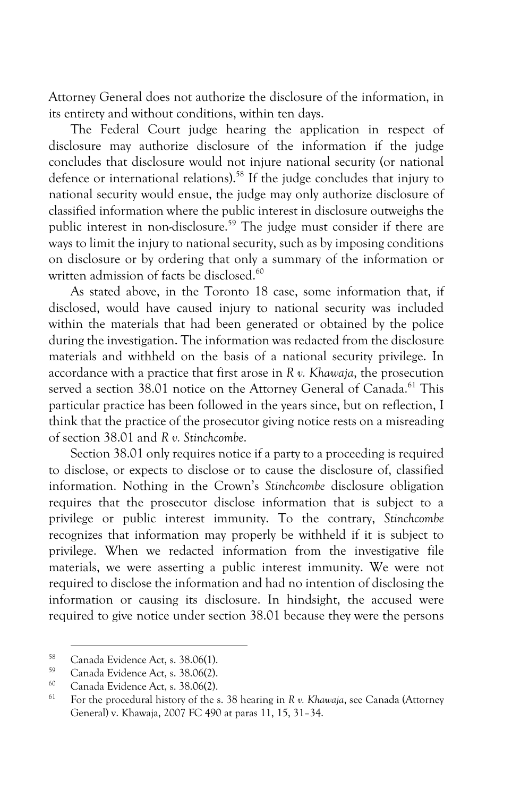Attorney General does not authorize the disclosure of the information, in its entirety and without conditions, within ten days.

The Federal Court judge hearing the application in respect of disclosure may authorize disclosure of the information if the judge concludes that disclosure would not injure national security (or national defence or international relations).<sup>58</sup> If the judge concludes that injury to national security would ensue, the judge may only authorize disclosure of classified information where the public interest in disclosure outweighs the public interest in non-disclosure.<sup>59</sup> The judge must consider if there are ways to limit the injury to national security, such as by imposing conditions on disclosure or by ordering that only a summary of the information or written admission of facts be disclosed.<sup>60</sup>

As stated above, in the Toronto 18 case, some information that, if disclosed, would have caused injury to national security was included within the materials that had been generated or obtained by the police during the investigation. The information was redacted from the disclosure materials and withheld on the basis of a national security privilege. In accordance with a practice that first arose in *R v. Khawaja*, the prosecution served a section 38.01 notice on the Attorney General of Canada.<sup>61</sup> This particular practice has been followed in the years since, but on reflection, I think that the practice of the prosecutor giving notice rests on a misreading of section 38.01 and *R v. Stinchcombe*.

Section 38.01 only requires notice if a party to a proceeding is required to disclose, or expects to disclose or to cause the disclosure of, classified information. Nothing in the Crown's *Stinchcombe* disclosure obligation requires that the prosecutor disclose information that is subject to a privilege or public interest immunity. To the contrary, *Stinchcombe*  recognizes that information may properly be withheld if it is subject to privilege. When we redacted information from the investigative file materials, we were asserting a public interest immunity. We were not required to disclose the information and had no intention of disclosing the information or causing its disclosure. In hindsight, the accused were required to give notice under section 38.01 because they were the persons

<sup>&</sup>lt;sup>58</sup> Canada Evidence Act, s.  $38.06(1)$ .<br><sup>59</sup> Canada Evidence Act, a  $38.06(2)$ 

 $^{59}$  Canada Evidence Act, s. 38.06(2).

 $^{60}$  Canada Evidence Act, s. 38.06(2).

<sup>61</sup> For the procedural history of the s. 38 hearing in *R v. Khawaja*, see Canada (Attorney General) v. Khawaja, 2007 FC 490 at paras 11, 15, 31–34.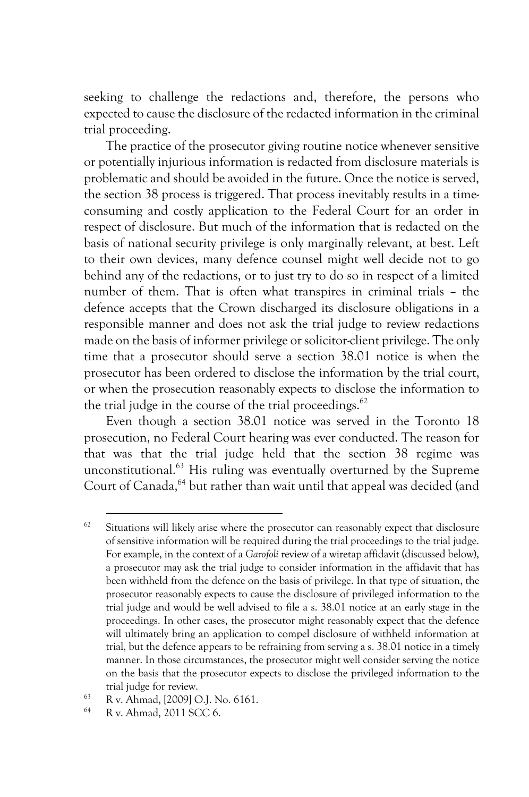seeking to challenge the redactions and, therefore, the persons who expected to cause the disclosure of the redacted information in the criminal trial proceeding.

The practice of the prosecutor giving routine notice whenever sensitive or potentially injurious information is redacted from disclosure materials is problematic and should be avoided in the future. Once the notice is served, the section 38 process is triggered. That process inevitably results in a timeconsuming and costly application to the Federal Court for an order in respect of disclosure. But much of the information that is redacted on the basis of national security privilege is only marginally relevant, at best. Left to their own devices, many defence counsel might well decide not to go behind any of the redactions, or to just try to do so in respect of a limited number of them. That is often what transpires in criminal trials – the defence accepts that the Crown discharged its disclosure obligations in a responsible manner and does not ask the trial judge to review redactions made on the basis of informer privilege or solicitor-client privilege. The only time that a prosecutor should serve a section 38.01 notice is when the prosecutor has been ordered to disclose the information by the trial court, or when the prosecution reasonably expects to disclose the information to the trial judge in the course of the trial proceedings. $62$ 

Even though a section 38.01 notice was served in the Toronto 18 prosecution, no Federal Court hearing was ever conducted. The reason for that was that the trial judge held that the section 38 regime was unconstitutional.63 His ruling was eventually overturned by the Supreme Court of Canada, <sup>64</sup> but rather than wait until that appeal was decided (and

 $62$  Situations will likely arise where the prosecutor can reasonably expect that disclosure of sensitive information will be required during the trial proceedings to the trial judge. For example, in the context of a *Garofoli* review of a wiretap affidavit (discussed below), a prosecutor may ask the trial judge to consider information in the affidavit that has been withheld from the defence on the basis of privilege. In that type of situation, the prosecutor reasonably expects to cause the disclosure of privileged information to the trial judge and would be well advised to file a s. 38.01 notice at an early stage in the proceedings. In other cases, the prosecutor might reasonably expect that the defence will ultimately bring an application to compel disclosure of withheld information at trial, but the defence appears to be refraining from serving a s. 38.01 notice in a timely manner. In those circumstances, the prosecutor might well consider serving the notice on the basis that the prosecutor expects to disclose the privileged information to the

trial judge for review.<br>  $\frac{63}{R}$  R v. Ahmad, [2009] O.J. No. 6161.<br>  $\frac{64}{R}$  R v. Ahmad, 2011 SCC 6.

<sup>64</sup> R v. Ahmad, 2011 SCC 6.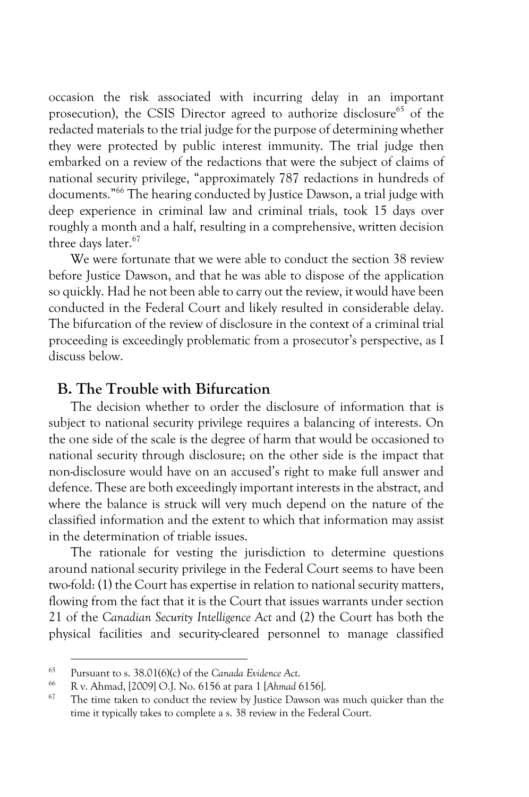occasion the risk associated with incurring delay in an important prosecution), the CSIS Director agreed to authorize disclosure<sup>65</sup> of the redacted materials to the trial judge for the purpose of determining whether they were protected by public interest immunity. The trial judge then embarked on a review of the redactions that were the subject of claims of national security privilege, "approximately 787 redactions in hundreds of documents."66 The hearing conducted by Justice Dawson, a trial judge with deep experience in criminal law and criminal trials, took 15 days over roughly a month and a half, resulting in a comprehensive, written decision three days later.<sup>67</sup>

We were fortunate that we were able to conduct the section 38 review before Justice Dawson, and that he was able to dispose of the application so quickly. Had he not been able to carry out the review, it would have been conducted in the Federal Court and likely resulted in considerable delay. The bifurcation of the review of disclosure in the context of a criminal trial proceeding is exceedingly problematic from a prosecutor's perspective, as I discuss below.

#### **B. The Trouble with Bifurcation**

The decision whether to order the disclosure of information that is subject to national security privilege requires a balancing of interests. On the one side of the scale is the degree of harm that would be occasioned to national security through disclosure; on the other side is the impact that non-disclosure would have on an accused's right to make full answer and defence. These are both exceedingly important interests in the abstract, and where the balance is struck will very much depend on the nature of the classified information and the extent to which that information may assist in the determination of triable issues.

The rationale for vesting the jurisdiction to determine questions around national security privilege in the Federal Court seems to have been two-fold: (1) the Court has expertise in relation to national security matters, flowing from the fact that it is the Court that issues warrants under section 21 of the *Canadian Security Intelligence Act* and (2) the Court has both the physical facilities and security-cleared personnel to manage classified

<sup>65</sup> Pursuant to s. 38.01(6)(c) of the *Canada Evidence Act*.

<sup>66</sup> R v. Ahmad, [2009] O.J. No. 6156 at para 1 [*Ahmad* 6156].

The time taken to conduct the review by Justice Dawson was much quicker than the time it typically takes to complete a s. 38 review in the Federal Court.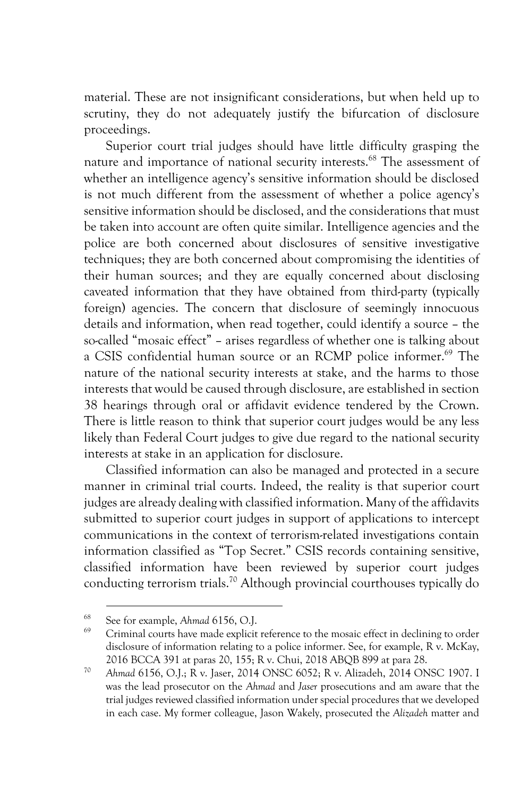material. These are not insignificant considerations, but when held up to scrutiny, they do not adequately justify the bifurcation of disclosure proceedings.

Superior court trial judges should have little difficulty grasping the nature and importance of national security interests.<sup>68</sup> The assessment of whether an intelligence agency's sensitive information should be disclosed is not much different from the assessment of whether a police agency's sensitive information should be disclosed, and the considerations that must be taken into account are often quite similar. Intelligence agencies and the police are both concerned about disclosures of sensitive investigative techniques; they are both concerned about compromising the identities of their human sources; and they are equally concerned about disclosing caveated information that they have obtained from third-party (typically foreign) agencies. The concern that disclosure of seemingly innocuous details and information, when read together, could identify a source – the so-called "mosaic effect" – arises regardless of whether one is talking about a CSIS confidential human source or an RCMP police informer.<sup>69</sup> The nature of the national security interests at stake, and the harms to those interests that would be caused through disclosure, are established in section 38 hearings through oral or affidavit evidence tendered by the Crown. There is little reason to think that superior court judges would be any less likely than Federal Court judges to give due regard to the national security interests at stake in an application for disclosure.

Classified information can also be managed and protected in a secure manner in criminal trial courts. Indeed, the reality is that superior court judges are already dealing with classified information. Many of the affidavits submitted to superior court judges in support of applications to intercept communications in the context of terrorism-related investigations contain information classified as "Top Secret." CSIS records containing sensitive, classified information have been reviewed by superior court judges conducting terrorism trials.70 Although provincial courthouses typically do

<sup>68</sup> See for example, *Ahmad* 6156, O.J.

<sup>69</sup> Criminal courts have made explicit reference to the mosaic effect in declining to order disclosure of information relating to a police informer. See, for example, R v. McKay, 2016 BCCA 391 at paras 20, 155; R v. Chui, 2018 ABQB 899 at para 28. 70 *Ahmad* 6156, O.J.; R v. Jaser, 2014 ONSC 6052; R v. Alizadeh, 2014 ONSC 1907. I

was the lead prosecutor on the *Ahmad* and *Jaser* prosecutions and am aware that the trial judges reviewed classified information under special procedures that we developed in each case. My former colleague, Jason Wakely, prosecuted the *Alizadeh* matter and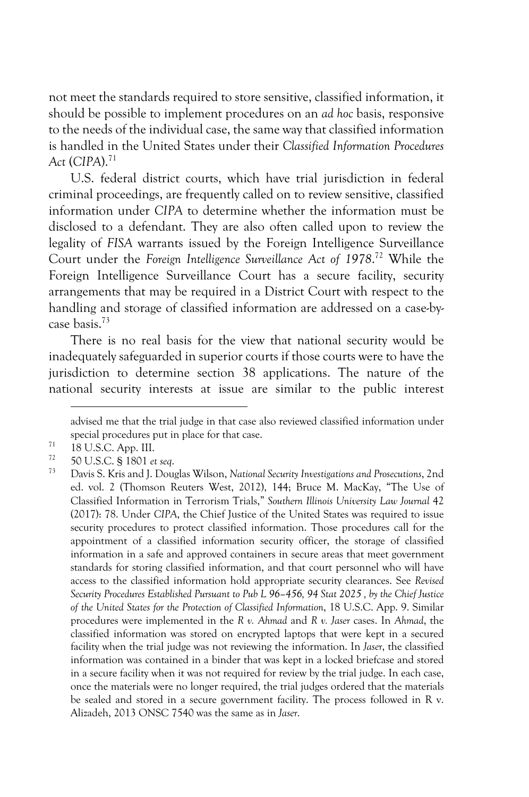not meet the standards required to store sensitive, classified information, it should be possible to implement procedures on an *ad hoc* basis, responsive to the needs of the individual case, the same way that classified information is handled in the United States under their *Classified Information Procedures Act* (*CIPA*).71

U.S. federal district courts, which have trial jurisdiction in federal criminal proceedings, are frequently called on to review sensitive, classified information under *CIPA* to determine whether the information must be disclosed to a defendant. They are also often called upon to review the legality of *FISA* warrants issued by the Foreign Intelligence Surveillance Court under the *Foreign Intelligence Surveillance Act of 1978*. <sup>72</sup> While the Foreign Intelligence Surveillance Court has a secure facility, security arrangements that may be required in a District Court with respect to the handling and storage of classified information are addressed on a case-bycase basis.73

There is no real basis for the view that national security would be inadequately safeguarded in superior courts if those courts were to have the jurisdiction to determine section 38 applications. The nature of the national security interests at issue are similar to the public interest

advised me that the trial judge in that case also reviewed classified information under special procedures put in place for that case.

 $^{71}$  18 U.S.C. App. III.

<sup>72</sup> 50 U.S.C. § 1801 *et seq*.

<sup>73</sup> Davis S. Kris and J. Douglas Wilson, *National Security Investigations and Prosecutions*, 2nd ed. vol. 2 (Thomson Reuters West, 2012), 144; Bruce M. MacKay, "The Use of Classified Information in Terrorism Trials," *Southern Illinois University Law Journal* 42 (2017): 78. Under *CIPA*, the Chief Justice of the United States was required to issue security procedures to protect classified information. Those procedures call for the appointment of a classified information security officer, the storage of classified information in a safe and approved containers in secure areas that meet government standards for storing classified information, and that court personnel who will have access to the classified information hold appropriate security clearances. See *Revised Security Procedures Established Pursuant to Pub L 96–456, 94 Stat 2025 , by the Chief Justice of the United States for the Protection of Classified Information*, 18 U.S.C. App. 9. Similar procedures were implemented in the *R v. Ahmad* and *R v. Jaser* cases. In *Ahmad*, the classified information was stored on encrypted laptops that were kept in a secured facility when the trial judge was not reviewing the information. In *Jaser*, the classified information was contained in a binder that was kept in a locked briefcase and stored in a secure facility when it was not required for review by the trial judge. In each case, once the materials were no longer required, the trial judges ordered that the materials be sealed and stored in a secure government facility. The process followed in R v. Alizadeh, 2013 ONSC 7540 was the same as in *Jaser*.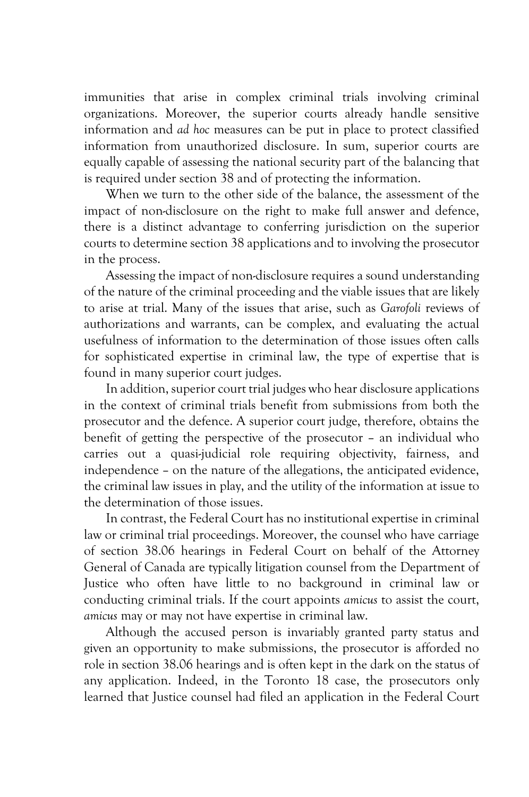immunities that arise in complex criminal trials involving criminal organizations. Moreover, the superior courts already handle sensitive information and *ad hoc* measures can be put in place to protect classified information from unauthorized disclosure. In sum, superior courts are equally capable of assessing the national security part of the balancing that is required under section 38 and of protecting the information.

When we turn to the other side of the balance, the assessment of the impact of non-disclosure on the right to make full answer and defence, there is a distinct advantage to conferring jurisdiction on the superior courts to determine section 38 applications and to involving the prosecutor in the process.

Assessing the impact of non-disclosure requires a sound understanding of the nature of the criminal proceeding and the viable issues that are likely to arise at trial. Many of the issues that arise, such as *Garofoli* reviews of authorizations and warrants, can be complex, and evaluating the actual usefulness of information to the determination of those issues often calls for sophisticated expertise in criminal law, the type of expertise that is found in many superior court judges.

In addition, superior court trial judges who hear disclosure applications in the context of criminal trials benefit from submissions from both the prosecutor and the defence. A superior court judge, therefore, obtains the benefit of getting the perspective of the prosecutor – an individual who carries out a quasi-judicial role requiring objectivity, fairness, and independence – on the nature of the allegations, the anticipated evidence, the criminal law issues in play, and the utility of the information at issue to the determination of those issues.

In contrast, the Federal Court has no institutional expertise in criminal law or criminal trial proceedings. Moreover, the counsel who have carriage of section 38.06 hearings in Federal Court on behalf of the Attorney General of Canada are typically litigation counsel from the Department of Justice who often have little to no background in criminal law or conducting criminal trials. If the court appoints *amicus* to assist the court, *amicus* may or may not have expertise in criminal law.

Although the accused person is invariably granted party status and given an opportunity to make submissions, the prosecutor is afforded no role in section 38.06 hearings and is often kept in the dark on the status of any application. Indeed, in the Toronto 18 case, the prosecutors only learned that Justice counsel had filed an application in the Federal Court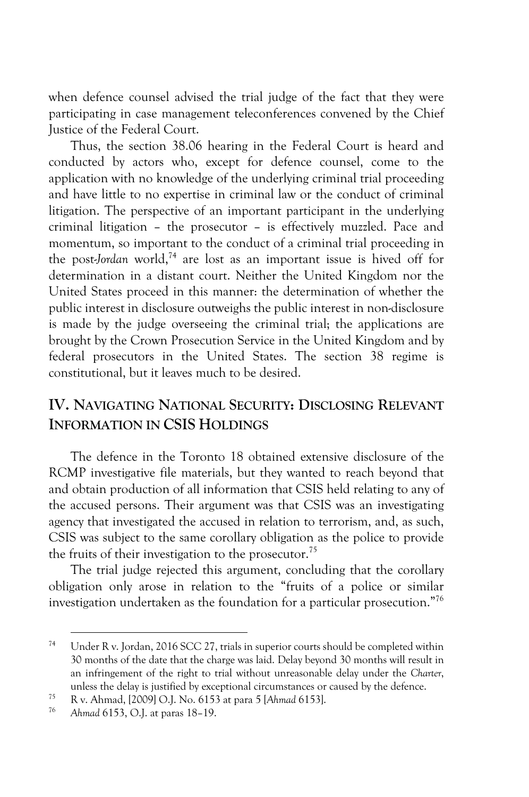when defence counsel advised the trial judge of the fact that they were participating in case management teleconferences convened by the Chief Justice of the Federal Court.

Thus, the section 38.06 hearing in the Federal Court is heard and conducted by actors who, except for defence counsel, come to the application with no knowledge of the underlying criminal trial proceeding and have little to no expertise in criminal law or the conduct of criminal litigation. The perspective of an important participant in the underlying criminal litigation – the prosecutor – is effectively muzzled. Pace and momentum, so important to the conduct of a criminal trial proceeding in the post-*Jordan* world,74 are lost as an important issue is hived off for determination in a distant court. Neither the United Kingdom nor the United States proceed in this manner: the determination of whether the public interest in disclosure outweighs the public interest in non-disclosure is made by the judge overseeing the criminal trial; the applications are brought by the Crown Prosecution Service in the United Kingdom and by federal prosecutors in the United States. The section 38 regime is constitutional, but it leaves much to be desired.

# **IV. NAVIGATING NATIONAL SECURITY: DISCLOSING RELEVANT INFORMATION IN CSIS HOLDINGS**

The defence in the Toronto 18 obtained extensive disclosure of the RCMP investigative file materials, but they wanted to reach beyond that and obtain production of all information that CSIS held relating to any of the accused persons. Their argument was that CSIS was an investigating agency that investigated the accused in relation to terrorism, and, as such, CSIS was subject to the same corollary obligation as the police to provide the fruits of their investigation to the prosecutor.<sup>75</sup>

The trial judge rejected this argument, concluding that the corollary obligation only arose in relation to the "fruits of a police or similar investigation undertaken as the foundation for a particular prosecution."76

<sup>74</sup> Under R v. Jordan, 2016 SCC 27, trials in superior courts should be completed within 30 months of the date that the charge was laid. Delay beyond 30 months will result in an infringement of the right to trial without unreasonable delay under the *Charter*, unless the delay is justified by exceptional circumstances or caused by the defence. 75 R v. Ahmad, [2009] O.J. No. 6153 at para 5 [*Ahmad* 6153].

<sup>76</sup> *Ahmad* 6153, O.J. at paras 18–19.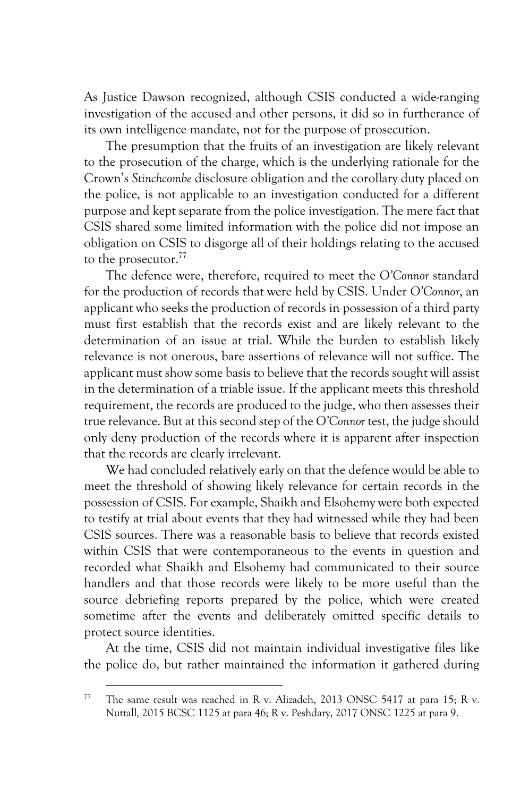As Justice Dawson recognized, although CSIS conducted a wide-ranging investigation of the accused and other persons, it did so in furtherance of its own intelligence mandate, not for the purpose of prosecution.

The presumption that the fruits of an investigation are likely relevant to the prosecution of the charge, which is the underlying rationale for the Crown's *Stinchcombe* disclosure obligation and the corollary duty placed on the police, is not applicable to an investigation conducted for a different purpose and kept separate from the police investigation. The mere fact that CSIS shared some limited information with the police did not impose an obligation on CSIS to disgorge all of their holdings relating to the accused to the prosecutor.<sup>77</sup>

The defence were, therefore, required to meet the *O'Connor* standard for the production of records that were held by CSIS. Under *O'Connor*, an applicant who seeks the production of records in possession of a third party must first establish that the records exist and are likely relevant to the determination of an issue at trial. While the burden to establish likely relevance is not onerous, bare assertions of relevance will not suffice. The applicant must show some basis to believe that the records sought will assist in the determination of a triable issue. If the applicant meets this threshold requirement, the records are produced to the judge, who then assesses their true relevance. But at this second step of the *O'Connor* test, the judge should only deny production of the records where it is apparent after inspection that the records are clearly irrelevant.

We had concluded relatively early on that the defence would be able to meet the threshold of showing likely relevance for certain records in the possession of CSIS. For example, Shaikh and Elsohemy were both expected to testify at trial about events that they had witnessed while they had been CSIS sources. There was a reasonable basis to believe that records existed within CSIS that were contemporaneous to the events in question and recorded what Shaikh and Elsohemy had communicated to their source handlers and that those records were likely to be more useful than the source debriefing reports prepared by the police, which were created sometime after the events and deliberately omitted specific details to protect source identities.

At the time, CSIS did not maintain individual investigative files like the police do, but rather maintained the information it gathered during

<sup>&</sup>lt;sup>77</sup> The same result was reached in R v. Alizadeh, 2013 ONSC 5417 at para 15; R v. Nuttall*,* 2015 BCSC 1125 at para 46; R v. Peshdary, 2017 ONSC 1225 at para 9.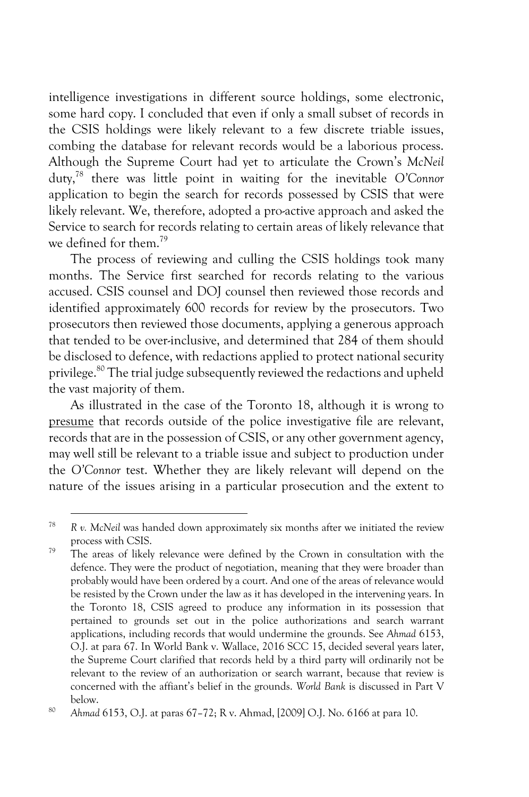intelligence investigations in different source holdings, some electronic, some hard copy. I concluded that even if only a small subset of records in the CSIS holdings were likely relevant to a few discrete triable issues, combing the database for relevant records would be a laborious process. Although the Supreme Court had yet to articulate the Crown's *McNeil*  duty,78 there was little point in waiting for the inevitable *O'Connor*  application to begin the search for records possessed by CSIS that were likely relevant. We, therefore, adopted a pro-active approach and asked the Service to search for records relating to certain areas of likely relevance that we defined for them.79

The process of reviewing and culling the CSIS holdings took many months. The Service first searched for records relating to the various accused. CSIS counsel and DOJ counsel then reviewed those records and identified approximately 600 records for review by the prosecutors. Two prosecutors then reviewed those documents, applying a generous approach that tended to be over-inclusive, and determined that 284 of them should be disclosed to defence, with redactions applied to protect national security privilege.<sup>80</sup> The trial judge subsequently reviewed the redactions and upheld the vast majority of them.

As illustrated in the case of the Toronto 18, although it is wrong to presume that records outside of the police investigative file are relevant, records that are in the possession of CSIS, or any other government agency, may well still be relevant to a triable issue and subject to production under the *O'Connor* test. Whether they are likely relevant will depend on the nature of the issues arising in a particular prosecution and the extent to

<sup>78</sup> *R v. McNeil* was handed down approximately six months after we initiated the review process with CSIS.

 $79$  The areas of likely relevance were defined by the Crown in consultation with the defence. They were the product of negotiation, meaning that they were broader than probably would have been ordered by a court. And one of the areas of relevance would be resisted by the Crown under the law as it has developed in the intervening years. In the Toronto 18, CSIS agreed to produce any information in its possession that pertained to grounds set out in the police authorizations and search warrant applications, including records that would undermine the grounds. See *Ahmad* 6153, O.J. at para 67. In World Bank v. Wallace, 2016 SCC 15, decided several years later, the Supreme Court clarified that records held by a third party will ordinarily not be relevant to the review of an authorization or search warrant, because that review is concerned with the affiant's belief in the grounds. *World Bank* is discussed in Part V below. 80 *Ahmad* 6153, O.J. at paras 67–72; R v. Ahmad, [2009] O.J. No. 6166 at para 10.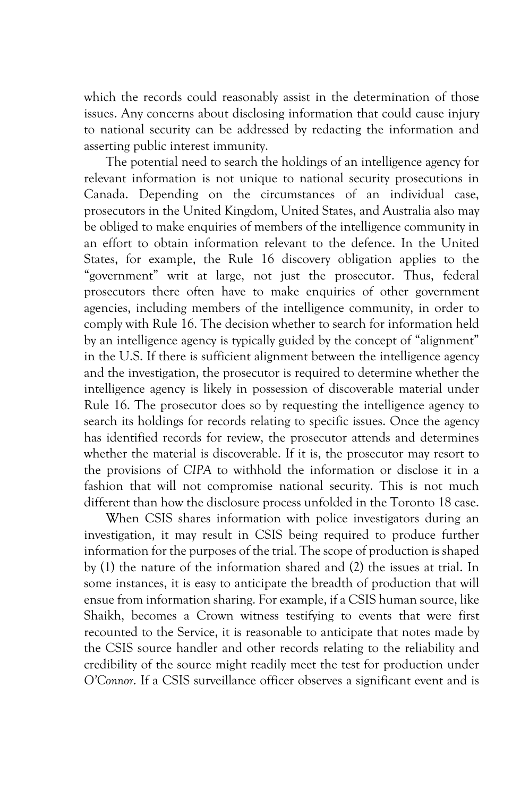which the records could reasonably assist in the determination of those issues. Any concerns about disclosing information that could cause injury to national security can be addressed by redacting the information and asserting public interest immunity.

The potential need to search the holdings of an intelligence agency for relevant information is not unique to national security prosecutions in Canada. Depending on the circumstances of an individual case, prosecutors in the United Kingdom, United States, and Australia also may be obliged to make enquiries of members of the intelligence community in an effort to obtain information relevant to the defence. In the United States, for example, the Rule 16 discovery obligation applies to the "government" writ at large, not just the prosecutor. Thus, federal prosecutors there often have to make enquiries of other government agencies, including members of the intelligence community, in order to comply with Rule 16. The decision whether to search for information held by an intelligence agency is typically guided by the concept of "alignment" in the U.S. If there is sufficient alignment between the intelligence agency and the investigation, the prosecutor is required to determine whether the intelligence agency is likely in possession of discoverable material under Rule 16. The prosecutor does so by requesting the intelligence agency to search its holdings for records relating to specific issues. Once the agency has identified records for review, the prosecutor attends and determines whether the material is discoverable. If it is, the prosecutor may resort to the provisions of *CIPA* to withhold the information or disclose it in a fashion that will not compromise national security. This is not much different than how the disclosure process unfolded in the Toronto 18 case.

When CSIS shares information with police investigators during an investigation, it may result in CSIS being required to produce further information for the purposes of the trial. The scope of production is shaped by (1) the nature of the information shared and (2) the issues at trial. In some instances, it is easy to anticipate the breadth of production that will ensue from information sharing. For example, if a CSIS human source, like Shaikh, becomes a Crown witness testifying to events that were first recounted to the Service, it is reasonable to anticipate that notes made by the CSIS source handler and other records relating to the reliability and credibility of the source might readily meet the test for production under *O'Connor*. If a CSIS surveillance officer observes a significant event and is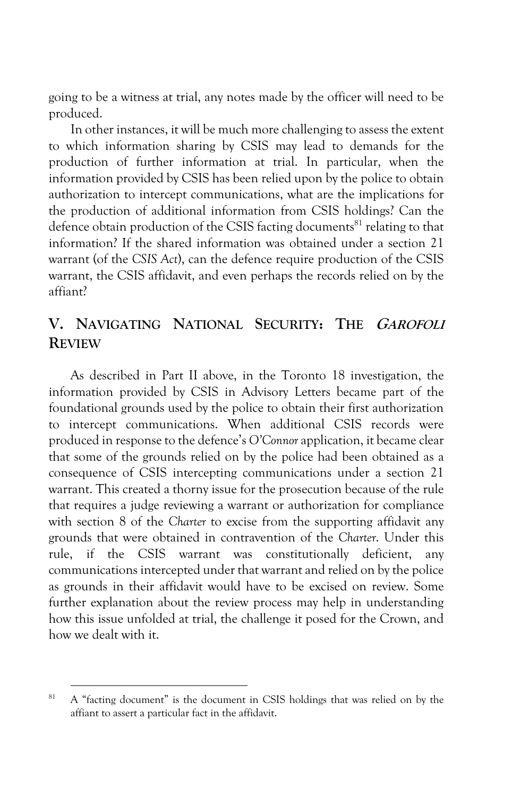going to be a witness at trial, any notes made by the officer will need to be produced.

In other instances, it will be much more challenging to assess the extent to which information sharing by CSIS may lead to demands for the production of further information at trial. In particular, when the information provided by CSIS has been relied upon by the police to obtain authorization to intercept communications, what are the implications for the production of additional information from CSIS holdings? Can the defence obtain production of the CSIS facting documents<sup>81</sup> relating to that information? If the shared information was obtained under a section 21 warrant (of the *CSIS Act*), can the defence require production of the CSIS warrant, the CSIS affidavit, and even perhaps the records relied on by the affiant?

# **V. NAVIGATING NATIONAL SECURITY: THE GAROFOLI REVIEW**

As described in Part II above, in the Toronto 18 investigation, the information provided by CSIS in Advisory Letters became part of the foundational grounds used by the police to obtain their first authorization to intercept communications. When additional CSIS records were produced in response to the defence's *O'Connor* application, it became clear that some of the grounds relied on by the police had been obtained as a consequence of CSIS intercepting communications under a section 21 warrant. This created a thorny issue for the prosecution because of the rule that requires a judge reviewing a warrant or authorization for compliance with section 8 of the *Charter* to excise from the supporting affidavit any grounds that were obtained in contravention of the *Charter*. Under this rule, if the CSIS warrant was constitutionally deficient, any communications intercepted under that warrant and relied on by the police as grounds in their affidavit would have to be excised on review. Some further explanation about the review process may help in understanding how this issue unfolded at trial, the challenge it posed for the Crown, and how we dealt with it.

 $81$  A "facting document" is the document in CSIS holdings that was relied on by the affiant to assert a particular fact in the affidavit.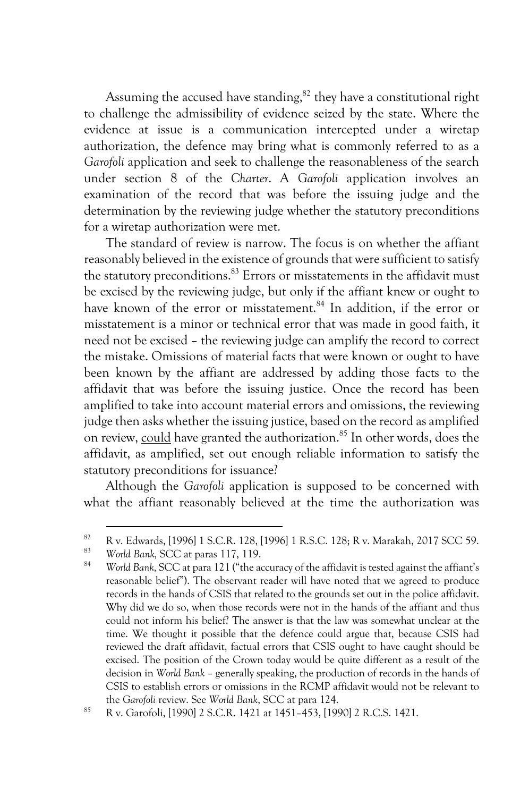Assuming the accused have standing, $82$  they have a constitutional right to challenge the admissibility of evidence seized by the state. Where the evidence at issue is a communication intercepted under a wiretap authorization, the defence may bring what is commonly referred to as a *Garofoli* application and seek to challenge the reasonableness of the search under section 8 of the *Charter*. A *Garofoli* application involves an examination of the record that was before the issuing judge and the determination by the reviewing judge whether the statutory preconditions for a wiretap authorization were met.

The standard of review is narrow. The focus is on whether the affiant reasonably believed in the existence of grounds that were sufficient to satisfy the statutory preconditions.<sup>83</sup> Errors or misstatements in the affidavit must be excised by the reviewing judge, but only if the affiant knew or ought to have known of the error or misstatement.<sup>84</sup> In addition, if the error or misstatement is a minor or technical error that was made in good faith, it need not be excised – the reviewing judge can amplify the record to correct the mistake. Omissions of material facts that were known or ought to have been known by the affiant are addressed by adding those facts to the affidavit that was before the issuing justice. Once the record has been amplified to take into account material errors and omissions, the reviewing judge then asks whether the issuing justice, based on the record as amplified on review, could have granted the authorization.<sup>85</sup> In other words, does the affidavit, as amplified, set out enough reliable information to satisfy the statutory preconditions for issuance?

Although the *Garofoli* application is supposed to be concerned with what the affiant reasonably believed at the time the authorization was

<sup>82</sup> R v. Edwards,  $[1996]$  1 S.C.R. 128,  $[1996]$  1 R.S.C. 128; R v. Marakah, 2017 SCC 59.

<sup>83</sup> *World Bank,* SCC at paras 117, 119.

<sup>84</sup> *World Bank,* SCC at para 121 ("the accuracy of the affidavit is tested against the affiant's reasonable belief"). The observant reader will have noted that we agreed to produce records in the hands of CSIS that related to the grounds set out in the police affidavit. Why did we do so, when those records were not in the hands of the affiant and thus could not inform his belief? The answer is that the law was somewhat unclear at the time. We thought it possible that the defence could argue that, because CSIS had reviewed the draft affidavit, factual errors that CSIS ought to have caught should be excised. The position of the Crown today would be quite different as a result of the decision in *World Bank* – generally speaking, the production of records in the hands of CSIS to establish errors or omissions in the RCMP affidavit would not be relevant to the *Garofoli* review. See *World Bank*, SCC at para 124.

<sup>85</sup> R v. Garofoli, [1990] 2 S.C.R. 1421 at 1451–453, [1990] 2 R.C.S. 1421.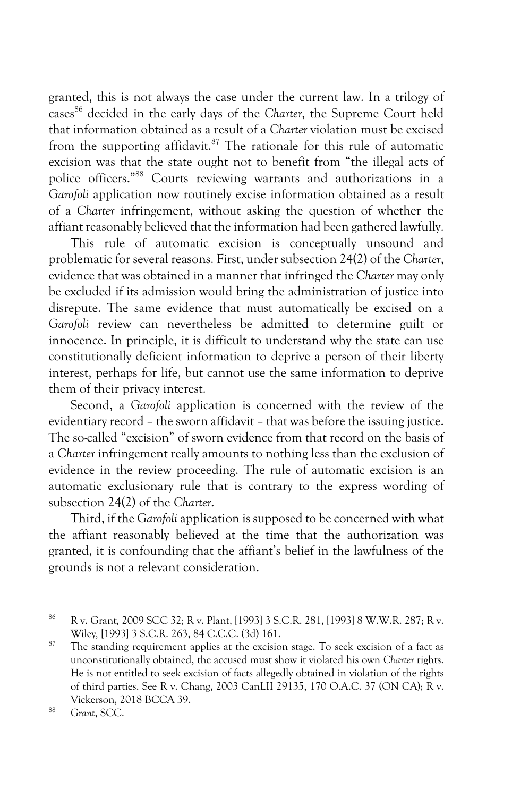granted, this is not always the case under the current law. In a trilogy of cases<sup>86</sup> decided in the early days of the *Charter*, the Supreme Court held that information obtained as a result of a *Charter* violation must be excised from the supporting affidavit.<sup>87</sup> The rationale for this rule of automatic excision was that the state ought not to benefit from "the illegal acts of police officers."88 Courts reviewing warrants and authorizations in a *Garofoli* application now routinely excise information obtained as a result of a *Charter* infringement, without asking the question of whether the affiant reasonably believed that the information had been gathered lawfully.

This rule of automatic excision is conceptually unsound and problematic for several reasons. First, under subsection 24(2) of the *Charter*, evidence that was obtained in a manner that infringed the *Charter* may only be excluded if its admission would bring the administration of justice into disrepute. The same evidence that must automatically be excised on a Garofoli review can nevertheless be admitted to determine guilt or innocence. In principle, it is difficult to understand why the state can use constitutionally deficient information to deprive a person of their liberty interest, perhaps for life, but cannot use the same information to deprive them of their privacy interest.

Second, a *Garofoli* application is concerned with the review of the evidentiary record – the sworn affidavit – that was before the issuing justice. The so-called "excision" of sworn evidence from that record on the basis of a *Charter* infringement really amounts to nothing less than the exclusion of evidence in the review proceeding. The rule of automatic excision is an automatic exclusionary rule that is contrary to the express wording of subsection 24(2) of the *Charter*.

Third, if the *Garofoli* application is supposed to be concerned with what the affiant reasonably believed at the time that the authorization was granted, it is confounding that the affiant's belief in the lawfulness of the grounds is not a relevant consideration.

<sup>86</sup> R v. Grant*,* 2009 SCC 32*;* R v. Plant, [1993] 3 S.C.R. 281, [1993] 8 W.W.R. 287; R v. Wiley*,* [1993] 3 S.C.R. 263, 84 C.C.C. (3d) 161.

 $87$  The standing requirement applies at the excision stage. To seek excision of a fact as unconstitutionally obtained, the accused must show it violated his own *Charter* rights. He is not entitled to seek excision of facts allegedly obtained in violation of the rights of third parties. See R v. Chang, 2003 CanLII 29135, 170 O.A.C. 37 (ON CA); R v. Vickerson, 2018 BCCA 39.

<sup>88</sup> *Grant*, SCC.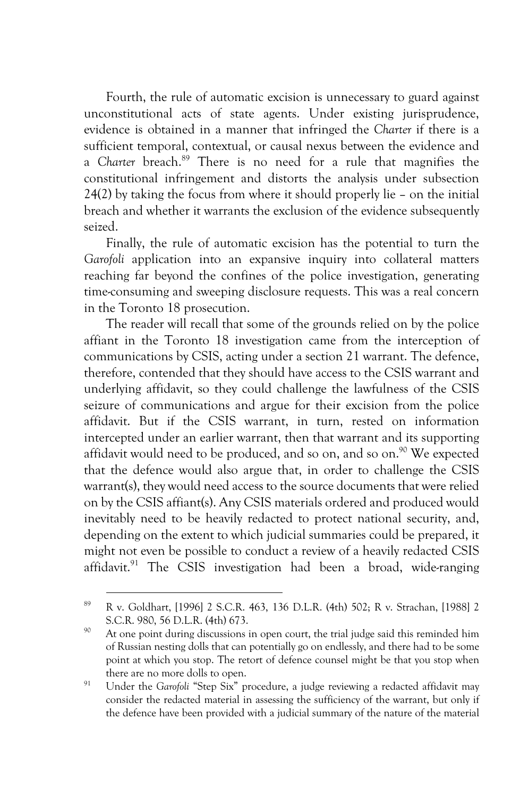Fourth, the rule of automatic excision is unnecessary to guard against unconstitutional acts of state agents. Under existing jurisprudence, evidence is obtained in a manner that infringed the *Charter* if there is a sufficient temporal, contextual, or causal nexus between the evidence and a *Charter* breach.89 There is no need for a rule that magnifies the constitutional infringement and distorts the analysis under subsection 24(2) by taking the focus from where it should properly lie – on the initial breach and whether it warrants the exclusion of the evidence subsequently seized.

Finally, the rule of automatic excision has the potential to turn the *Garofoli* application into an expansive inquiry into collateral matters reaching far beyond the confines of the police investigation, generating time-consuming and sweeping disclosure requests. This was a real concern in the Toronto 18 prosecution.

The reader will recall that some of the grounds relied on by the police affiant in the Toronto 18 investigation came from the interception of communications by CSIS, acting under a section 21 warrant. The defence, therefore, contended that they should have access to the CSIS warrant and underlying affidavit, so they could challenge the lawfulness of the CSIS seizure of communications and argue for their excision from the police affidavit. But if the CSIS warrant, in turn, rested on information intercepted under an earlier warrant, then that warrant and its supporting affidavit would need to be produced, and so on, and so on.<sup>90</sup> We expected that the defence would also argue that, in order to challenge the CSIS warrant(s), they would need access to the source documents that were relied on by the CSIS affiant(s). Any CSIS materials ordered and produced would inevitably need to be heavily redacted to protect national security, and, depending on the extent to which judicial summaries could be prepared, it might not even be possible to conduct a review of a heavily redacted CSIS affidavit. $91$  The CSIS investigation had been a broad, wide-ranging

<sup>89</sup> R v. Goldhart, [1996] 2 S.C.R. 463, 136 D.L.R. (4th) 502; R v. Strachan, [1988] 2 S.C.R. 980, 56 D.L.R. (4th) 673.

<sup>&</sup>lt;sup>90</sup> At one point during discussions in open court, the trial judge said this reminded him of Russian nesting dolls that can potentially go on endlessly, and there had to be some point at which you stop. The retort of defence counsel might be that you stop when there are no more dolls to open.

<sup>&</sup>lt;sup>91</sup> Under the *Garofoli* "Step Six" procedure, a judge reviewing a redacted affidavit may consider the redacted material in assessing the sufficiency of the warrant, but only if the defence have been provided with a judicial summary of the nature of the material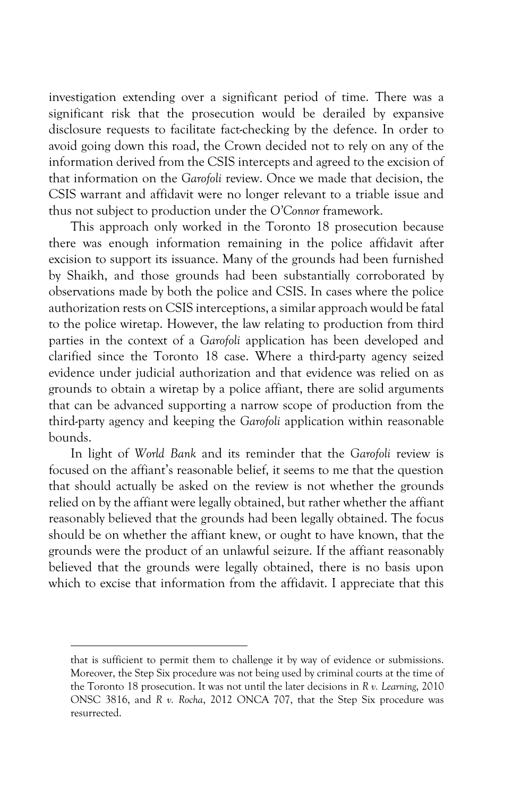investigation extending over a significant period of time. There was a significant risk that the prosecution would be derailed by expansive disclosure requests to facilitate fact-checking by the defence. In order to avoid going down this road, the Crown decided not to rely on any of the information derived from the CSIS intercepts and agreed to the excision of that information on the *Garofoli* review. Once we made that decision, the CSIS warrant and affidavit were no longer relevant to a triable issue and thus not subject to production under the *O'Connor* framework.

This approach only worked in the Toronto 18 prosecution because there was enough information remaining in the police affidavit after excision to support its issuance. Many of the grounds had been furnished by Shaikh, and those grounds had been substantially corroborated by observations made by both the police and CSIS. In cases where the police authorization rests on CSIS interceptions, a similar approach would be fatal to the police wiretap. However, the law relating to production from third parties in the context of a *Garofoli* application has been developed and clarified since the Toronto 18 case. Where a third-party agency seized evidence under judicial authorization and that evidence was relied on as grounds to obtain a wiretap by a police affiant, there are solid arguments that can be advanced supporting a narrow scope of production from the third-party agency and keeping the *Garofoli* application within reasonable bounds.

In light of *World Bank* and its reminder that the *Garofoli* review is focused on the affiant's reasonable belief, it seems to me that the question that should actually be asked on the review is not whether the grounds relied on by the affiant were legally obtained, but rather whether the affiant reasonably believed that the grounds had been legally obtained. The focus should be on whether the affiant knew, or ought to have known, that the grounds were the product of an unlawful seizure. If the affiant reasonably believed that the grounds were legally obtained, there is no basis upon which to excise that information from the affidavit. I appreciate that this

that is sufficient to permit them to challenge it by way of evidence or submissions. Moreover, the Step Six procedure was not being used by criminal courts at the time of the Toronto 18 prosecution. It was not until the later decisions in *R v. Learning*, 2010 ONSC 3816, and *R v. Rocha*, 2012 ONCA 707, that the Step Six procedure was resurrected.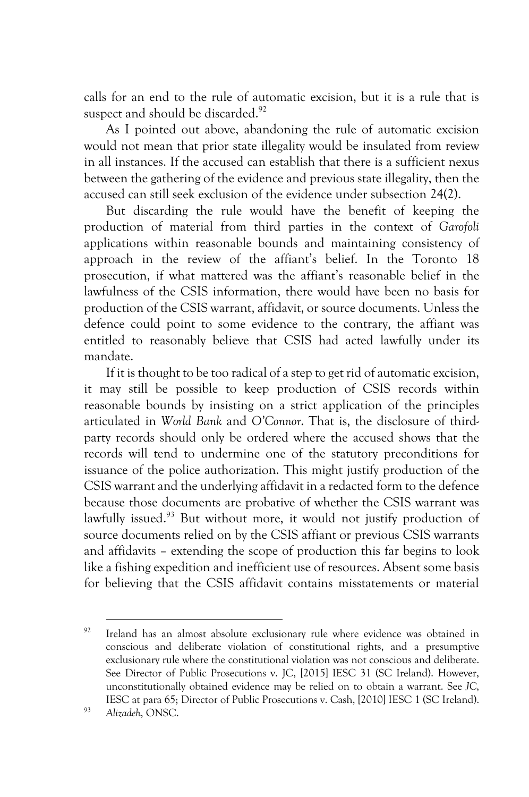calls for an end to the rule of automatic excision, but it is a rule that is suspect and should be discarded.<sup>92</sup>

As I pointed out above, abandoning the rule of automatic excision would not mean that prior state illegality would be insulated from review in all instances. If the accused can establish that there is a sufficient nexus between the gathering of the evidence and previous state illegality, then the accused can still seek exclusion of the evidence under subsection 24(2).

But discarding the rule would have the benefit of keeping the production of material from third parties in the context of *Garofoli*  applications within reasonable bounds and maintaining consistency of approach in the review of the affiant's belief. In the Toronto 18 prosecution, if what mattered was the affiant's reasonable belief in the lawfulness of the CSIS information, there would have been no basis for production of the CSIS warrant, affidavit, or source documents. Unless the defence could point to some evidence to the contrary, the affiant was entitled to reasonably believe that CSIS had acted lawfully under its mandate.

If it is thought to be too radical of a step to get rid of automatic excision, it may still be possible to keep production of CSIS records within reasonable bounds by insisting on a strict application of the principles articulated in *World Bank* and *O'Connor*. That is, the disclosure of thirdparty records should only be ordered where the accused shows that the records will tend to undermine one of the statutory preconditions for issuance of the police authorization. This might justify production of the CSIS warrant and the underlying affidavit in a redacted form to the defence because those documents are probative of whether the CSIS warrant was lawfully issued.<sup>93</sup> But without more, it would not justify production of source documents relied on by the CSIS affiant or previous CSIS warrants and affidavits – extending the scope of production this far begins to look like a fishing expedition and inefficient use of resources. Absent some basis for believing that the CSIS affidavit contains misstatements or material

 $92$  Ireland has an almost absolute exclusionary rule where evidence was obtained in conscious and deliberate violation of constitutional rights, and a presumptive exclusionary rule where the constitutional violation was not conscious and deliberate. See Director of Public Prosecutions v. JC, [2015] IESC 31 (SC Ireland). However, unconstitutionally obtained evidence may be relied on to obtain a warrant. See *JC*, IESC at para 65; Director of Public Prosecutions v. Cash, [2010] IESC 1 (SC Ireland). 93 *Alizadeh*, ONSC.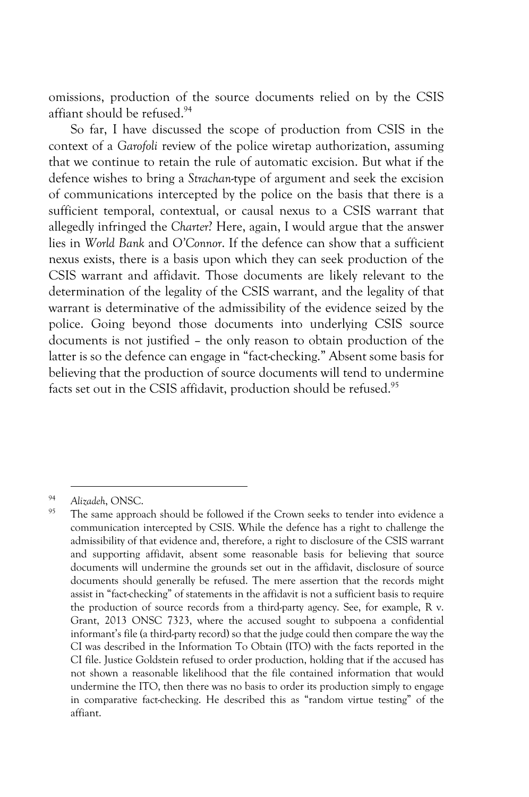omissions, production of the source documents relied on by the CSIS affiant should be refused.<sup>94</sup>

So far, I have discussed the scope of production from CSIS in the context of a *Garofoli* review of the police wiretap authorization, assuming that we continue to retain the rule of automatic excision. But what if the defence wishes to bring a *Strachan*-type of argument and seek the excision of communications intercepted by the police on the basis that there is a sufficient temporal, contextual, or causal nexus to a CSIS warrant that allegedly infringed the *Charter*? Here, again, I would argue that the answer lies in *World Bank* and *O'Connor*. If the defence can show that a sufficient nexus exists, there is a basis upon which they can seek production of the CSIS warrant and affidavit. Those documents are likely relevant to the determination of the legality of the CSIS warrant, and the legality of that warrant is determinative of the admissibility of the evidence seized by the police. Going beyond those documents into underlying CSIS source documents is not justified – the only reason to obtain production of the latter is so the defence can engage in "fact-checking." Absent some basis for believing that the production of source documents will tend to undermine facts set out in the CSIS affidavit, production should be refused.<sup>95</sup>

<sup>94</sup> *Alizadeh*, ONSC.

The same approach should be followed if the Crown seeks to tender into evidence a communication intercepted by CSIS. While the defence has a right to challenge the admissibility of that evidence and, therefore, a right to disclosure of the CSIS warrant and supporting affidavit, absent some reasonable basis for believing that source documents will undermine the grounds set out in the affidavit, disclosure of source documents should generally be refused. The mere assertion that the records might assist in "fact-checking" of statements in the affidavit is not a sufficient basis to require the production of source records from a third-party agency. See, for example, R v. Grant, 2013 ONSC 7323, where the accused sought to subpoena a confidential informant's file (a third-party record) so that the judge could then compare the way the CI was described in the Information To Obtain (ITO) with the facts reported in the CI file. Justice Goldstein refused to order production, holding that if the accused has not shown a reasonable likelihood that the file contained information that would undermine the ITO, then there was no basis to order its production simply to engage in comparative fact-checking. He described this as "random virtue testing" of the affiant.